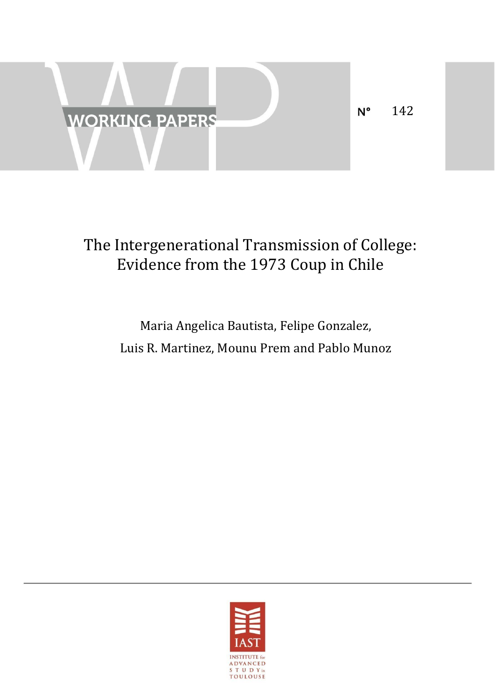

# The Intergenerational Transmission of College: Evidence from the 1973 Coup in Chile

## Maria Angelica Bautista, Felipe Gonzalez, Luis R. Martinez, Mounu Prem and Pablo Munoz

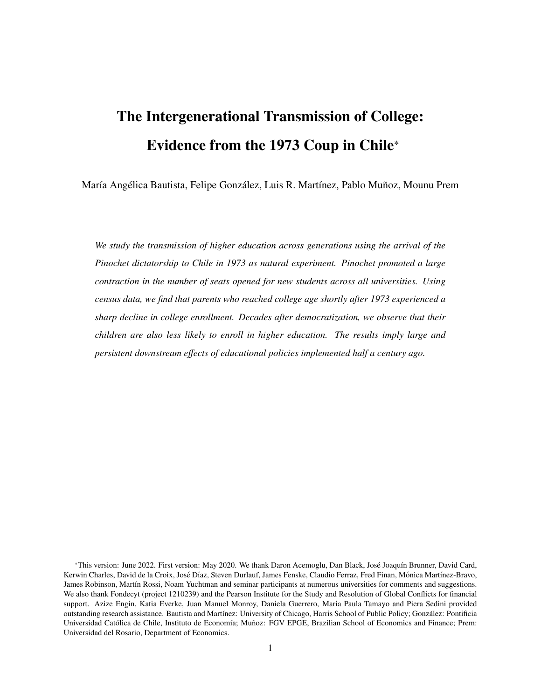# The Intergenerational Transmission of College: Evidence from the 1973 Coup in Chile\*

María Angélica Bautista, Felipe González, Luis R. Martínez, Pablo Muñoz, Mounu Prem

*We study the transmission of higher education across generations using the arrival of the Pinochet dictatorship to Chile in 1973 as natural experiment. Pinochet promoted a large contraction in the number of seats opened for new students across all universities. Using census data, we find that parents who reached college age shortly after 1973 experienced a sharp decline in college enrollment. Decades after democratization, we observe that their children are also less likely to enroll in higher education. The results imply large and persistent downstream e*ff*ects of educational policies implemented half a century ago.*

<sup>\*</sup>This version: June 2022. First version: May 2020. We thank Daron Acemoglu, Dan Black, José Joaquín Brunner, David Card, Kerwin Charles, David de la Croix, José Díaz, Steven Durlauf, James Fenske, Claudio Ferraz, Fred Finan, Mónica Martínez-Bravo, James Robinson, Martín Rossi, Noam Yuchtman and seminar participants at numerous universities for comments and suggestions. We also thank Fondecyt (project 1210239) and the Pearson Institute for the Study and Resolution of Global Conflicts for financial support. Azize Engin, Katia Everke, Juan Manuel Monroy, Daniela Guerrero, Maria Paula Tamayo and Piera Sedini provided outstanding research assistance. Bautista and Martínez: University of Chicago, Harris School of Public Policy; González: Pontificia Universidad Católica de Chile, Instituto de Economía; Muñoz: FGV EPGE, Brazilian School of Economics and Finance; Prem: Universidad del Rosario, Department of Economics.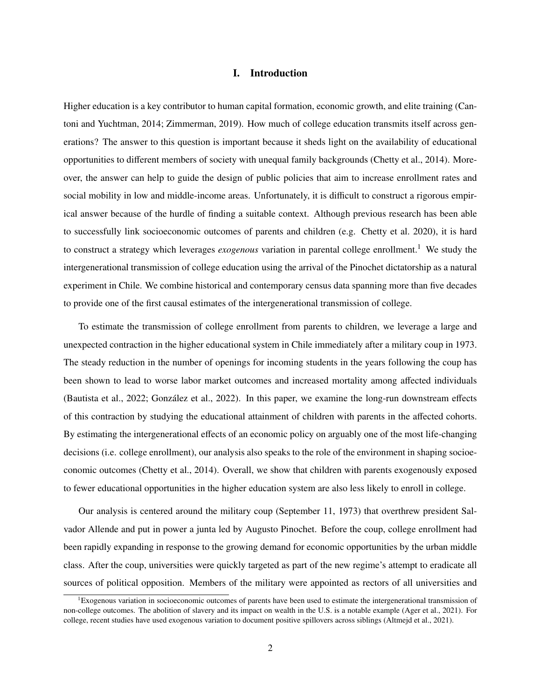### I. Introduction

Higher education is a key contributor to human capital formation, economic growth, and elite training [\(Can](#page-16-0)[toni and Yuchtman,](#page-16-0) [2014;](#page-16-0) [Zimmerman,](#page-18-0) [2019\)](#page-18-0). How much of college education transmits itself across generations? The answer to this question is important because it sheds light on the availability of educational opportunities to different members of society with unequal family backgrounds [\(Chetty et al.,](#page-16-1) [2014\)](#page-16-1). Moreover, the answer can help to guide the design of public policies that aim to increase enrollment rates and social mobility in low and middle-income areas. Unfortunately, it is difficult to construct a rigorous empirical answer because of the hurdle of finding a suitable context. Although previous research has been able to successfully link socioeconomic outcomes of parents and children (e.g. [Chetty et al.](#page-16-2) [2020\)](#page-16-2), it is hard to construct a strategy which leverages *exogenous* variation in parental college enrollment.[1](#page-2-0) We study the intergenerational transmission of college education using the arrival of the Pinochet dictatorship as a natural experiment in Chile. We combine historical and contemporary census data spanning more than five decades to provide one of the first causal estimates of the intergenerational transmission of college.

To estimate the transmission of college enrollment from parents to children, we leverage a large and unexpected contraction in the higher educational system in Chile immediately after a military coup in 1973. The steady reduction in the number of openings for incoming students in the years following the coup has been shown to lead to worse labor market outcomes and increased mortality among affected individuals [\(Bautista et al.,](#page-15-0) [2022;](#page-15-0) González et al., [2022\)](#page-17-0). In this paper, we examine the long-run downstream effects of this contraction by studying the educational attainment of children with parents in the affected cohorts. By estimating the intergenerational effects of an economic policy on arguably one of the most life-changing decisions (i.e. college enrollment), our analysis also speaks to the role of the environment in shaping socioeconomic outcomes [\(Chetty et al.,](#page-16-1) [2014\)](#page-16-1). Overall, we show that children with parents exogenously exposed to fewer educational opportunities in the higher education system are also less likely to enroll in college.

Our analysis is centered around the military coup (September 11, 1973) that overthrew president Salvador Allende and put in power a junta led by Augusto Pinochet. Before the coup, college enrollment had been rapidly expanding in response to the growing demand for economic opportunities by the urban middle class. After the coup, universities were quickly targeted as part of the new regime's attempt to eradicate all sources of political opposition. Members of the military were appointed as rectors of all universities and

<span id="page-2-0"></span><sup>&</sup>lt;sup>1</sup>Exogenous variation in socioeconomic outcomes of parents have been used to estimate the intergenerational transmission of non-college outcomes. The abolition of slavery and its impact on wealth in the U.S. is a notable example [\(Ager et al.,](#page-15-1) [2021\)](#page-15-1). For college, recent studies have used exogenous variation to document positive spillovers across siblings [\(Altmejd et al.,](#page-15-2) [2021\)](#page-15-2).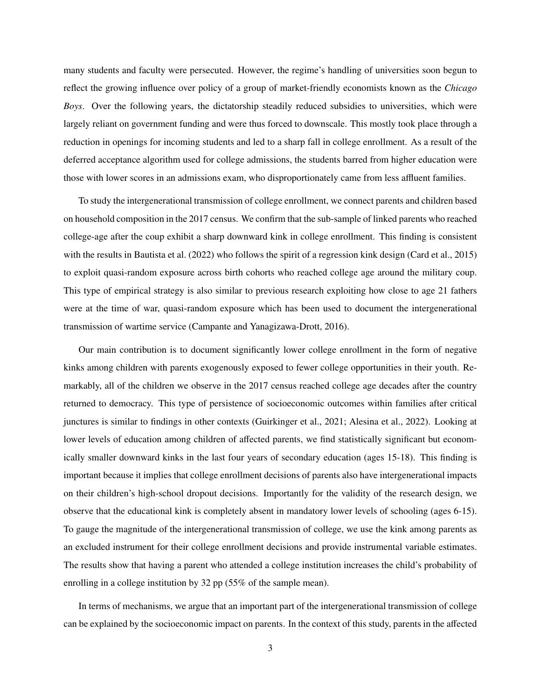many students and faculty were persecuted. However, the regime's handling of universities soon begun to reflect the growing influence over policy of a group of market-friendly economists known as the *Chicago Boys*. Over the following years, the dictatorship steadily reduced subsidies to universities, which were largely reliant on government funding and were thus forced to downscale. This mostly took place through a reduction in openings for incoming students and led to a sharp fall in college enrollment. As a result of the deferred acceptance algorithm used for college admissions, the students barred from higher education were those with lower scores in an admissions exam, who disproportionately came from less affluent families.

To study the intergenerational transmission of college enrollment, we connect parents and children based on household composition in the 2017 census. We confirm that the sub-sample of linked parents who reached college-age after the coup exhibit a sharp downward kink in college enrollment. This finding is consistent with the results in [Bautista et al.](#page-15-0) [\(2022\)](#page-15-0) who follows the spirit of a regression kink design [\(Card et al.,](#page-16-3) [2015\)](#page-16-3) to exploit quasi-random exposure across birth cohorts who reached college age around the military coup. This type of empirical strategy is also similar to previous research exploiting how close to age 21 fathers were at the time of war, quasi-random exposure which has been used to document the intergenerational transmission of wartime service [\(Campante and Yanagizawa-Drott,](#page-16-4) [2016\)](#page-16-4).

Our main contribution is to document significantly lower college enrollment in the form of negative kinks among children with parents exogenously exposed to fewer college opportunities in their youth. Remarkably, all of the children we observe in the 2017 census reached college age decades after the country returned to democracy. This type of persistence of socioeconomic outcomes within families after critical junctures is similar to findings in other contexts [\(Guirkinger et al.,](#page-17-1) [2021;](#page-17-1) [Alesina et al.,](#page-15-3) [2022\)](#page-15-3). Looking at lower levels of education among children of affected parents, we find statistically significant but economically smaller downward kinks in the last four years of secondary education (ages 15-18). This finding is important because it implies that college enrollment decisions of parents also have intergenerational impacts on their children's high-school dropout decisions. Importantly for the validity of the research design, we observe that the educational kink is completely absent in mandatory lower levels of schooling (ages 6-15). To gauge the magnitude of the intergenerational transmission of college, we use the kink among parents as an excluded instrument for their college enrollment decisions and provide instrumental variable estimates. The results show that having a parent who attended a college institution increases the child's probability of enrolling in a college institution by 32 pp (55% of the sample mean).

In terms of mechanisms, we argue that an important part of the intergenerational transmission of college can be explained by the socioeconomic impact on parents. In the context of this study, parents in the affected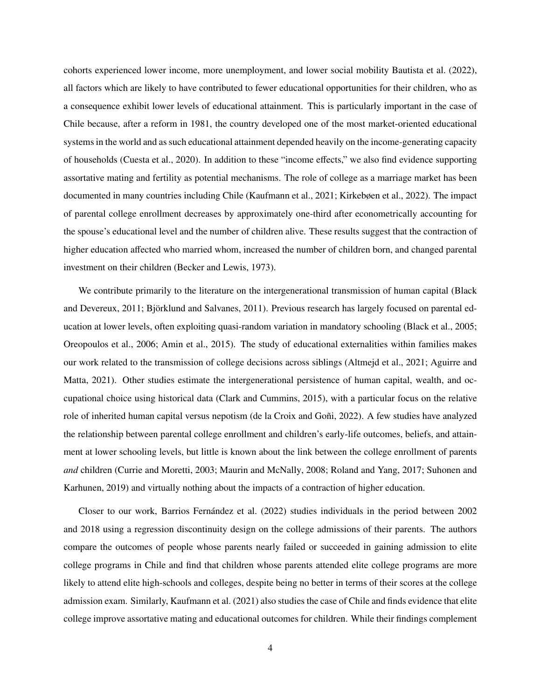cohorts experienced lower income, more unemployment, and lower social mobility [Bautista et al.](#page-15-0) [\(2022\)](#page-15-0), all factors which are likely to have contributed to fewer educational opportunities for their children, who as a consequence exhibit lower levels of educational attainment. This is particularly important in the case of Chile because, after a reform in 1981, the country developed one of the most market-oriented educational systems in the world and as such educational attainment depended heavily on the income-generating capacity of households [\(Cuesta et al.,](#page-16-5) [2020\)](#page-16-5). In addition to these "income effects," we also find evidence supporting assortative mating and fertility as potential mechanisms. The role of college as a marriage market has been documented in many countries including Chile [\(Kaufmann et al.,](#page-17-2) [2021;](#page-17-2) [Kirkebøen et al.,](#page-17-3) [2022\)](#page-17-3). The impact of parental college enrollment decreases by approximately one-third after econometrically accounting for the spouse's educational level and the number of children alive. These results suggest that the contraction of higher education affected who married whom, increased the number of children born, and changed parental investment on their children [\(Becker and Lewis,](#page-15-4) [1973\)](#page-15-4).

We contribute primarily to the literature on the intergenerational transmission of human capital [\(Black](#page-15-5) [and Devereux,](#page-15-5) [2011;](#page-15-5) Björklund and Salvanes, [2011\)](#page-15-6). Previous research has largely focused on parental education at lower levels, often exploiting quasi-random variation in mandatory schooling [\(Black et al.,](#page-15-7) [2005;](#page-15-7) [Oreopoulos et al.,](#page-17-4) [2006;](#page-17-4) [Amin et al.,](#page-15-8) [2015\)](#page-15-8). The study of educational externalities within families makes our work related to the transmission of college decisions across siblings [\(Altmejd et al.,](#page-15-2) [2021;](#page-15-2) [Aguirre and](#page-15-9) [Matta,](#page-15-9) [2021\)](#page-15-9). Other studies estimate the intergenerational persistence of human capital, wealth, and occupational choice using historical data [\(Clark and Cummins,](#page-16-6) [2015\)](#page-16-6), with a particular focus on the relative role of inherited human capital versus nepotism (de la Croix and Goñi, [2022\)](#page-16-7). A few studies have analyzed the relationship between parental college enrollment and children's early-life outcomes, beliefs, and attainment at lower schooling levels, but little is known about the link between the college enrollment of parents *and* children [\(Currie and Moretti,](#page-16-8) [2003;](#page-16-8) [Maurin and McNally,](#page-17-5) [2008;](#page-17-5) [Roland and Yang,](#page-18-1) [2017;](#page-18-1) [Suhonen and](#page-18-2) [Karhunen,](#page-18-2) [2019\)](#page-18-2) and virtually nothing about the impacts of a contraction of higher education.

Closer to our work, Barrios Fernández et al. [\(2022\)](#page-15-10) studies individuals in the period between 2002 and 2018 using a regression discontinuity design on the college admissions of their parents. The authors compare the outcomes of people whose parents nearly failed or succeeded in gaining admission to elite college programs in Chile and find that children whose parents attended elite college programs are more likely to attend elite high-schools and colleges, despite being no better in terms of their scores at the college admission exam. Similarly, [Kaufmann et al.](#page-17-2) [\(2021\)](#page-17-2) also studies the case of Chile and finds evidence that elite college improve assortative mating and educational outcomes for children. While their findings complement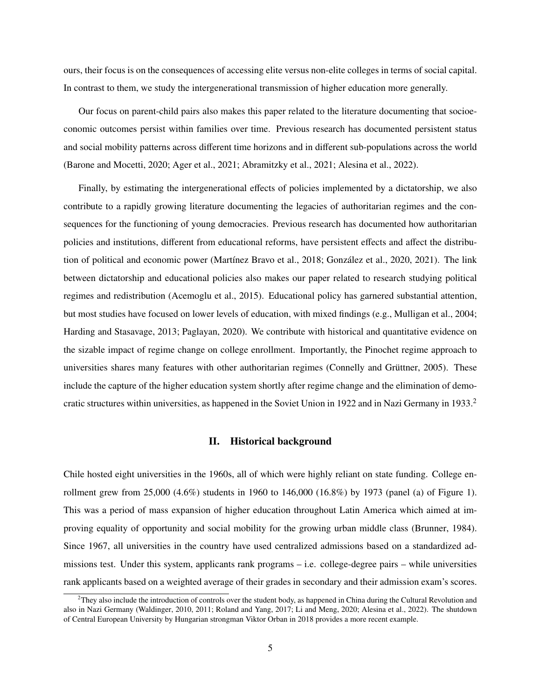ours, their focus is on the consequences of accessing elite versus non-elite colleges in terms of social capital. In contrast to them, we study the intergenerational transmission of higher education more generally.

Our focus on parent-child pairs also makes this paper related to the literature documenting that socioeconomic outcomes persist within families over time. Previous research has documented persistent status and social mobility patterns across different time horizons and in different sub-populations across the world [\(Barone and Mocetti,](#page-15-11) [2020;](#page-15-11) [Ager et al.,](#page-15-1) [2021;](#page-15-1) [Abramitzky et al.,](#page-15-12) [2021;](#page-15-12) [Alesina et al.,](#page-15-3) [2022\)](#page-15-3).

Finally, by estimating the intergenerational effects of policies implemented by a dictatorship, we also contribute to a rapidly growing literature documenting the legacies of authoritarian regimes and the consequences for the functioning of young democracies. Previous research has documented how authoritarian policies and institutions, different from educational reforms, have persistent effects and affect the distribu-tion of political and economic power (Martínez Bravo et al., [2018;](#page-17-6) González et al., [2020,](#page-17-7) [2021\)](#page-17-8). The link between dictatorship and educational policies also makes our paper related to research studying political regimes and redistribution [\(Acemoglu et al.,](#page-15-13) [2015\)](#page-15-13). Educational policy has garnered substantial attention, but most studies have focused on lower levels of education, with mixed findings (e.g., [Mulligan et al.,](#page-17-9) [2004;](#page-17-9) [Harding and Stasavage,](#page-17-10) [2013;](#page-17-10) [Paglayan,](#page-17-11) [2020\)](#page-17-11). We contribute with historical and quantitative evidence on the sizable impact of regime change on college enrollment. Importantly, the Pinochet regime approach to universities shares many features with other authoritarian regimes (Connelly and Grüttner, [2005\)](#page-16-9). These include the capture of the higher education system shortly after regime change and the elimination of demo-cratic structures within universities, as happened in the Soviet Union in 19[2](#page-5-0)2 and in Nazi Germany in 1933.<sup>2</sup>

## II. Historical background

Chile hosted eight universities in the 1960s, all of which were highly reliant on state funding. College enrollment grew from 25,000 (4.6%) students in 1960 to 146,000 (16.8%) by 1973 (panel (a) of Figure [1\)](#page-19-0). This was a period of mass expansion of higher education throughout Latin America which aimed at improving equality of opportunity and social mobility for the growing urban middle class [\(Brunner,](#page-15-14) [1984\)](#page-15-14). Since 1967, all universities in the country have used centralized admissions based on a standardized admissions test. Under this system, applicants rank programs – i.e. college-degree pairs – while universities rank applicants based on a weighted average of their grades in secondary and their admission exam's scores.

<span id="page-5-0"></span> $2$ They also include the introduction of controls over the student body, as happened in China during the Cultural Revolution and also in Nazi Germany [\(Waldinger,](#page-18-3) [2010,](#page-18-3) [2011;](#page-18-4) [Roland and Yang,](#page-18-1) [2017;](#page-18-1) [Li and Meng,](#page-17-12) [2020;](#page-17-12) [Alesina et al.,](#page-15-3) [2022\)](#page-15-3). The shutdown of Central European University by Hungarian strongman Viktor Orban in 2018 provides a more recent example.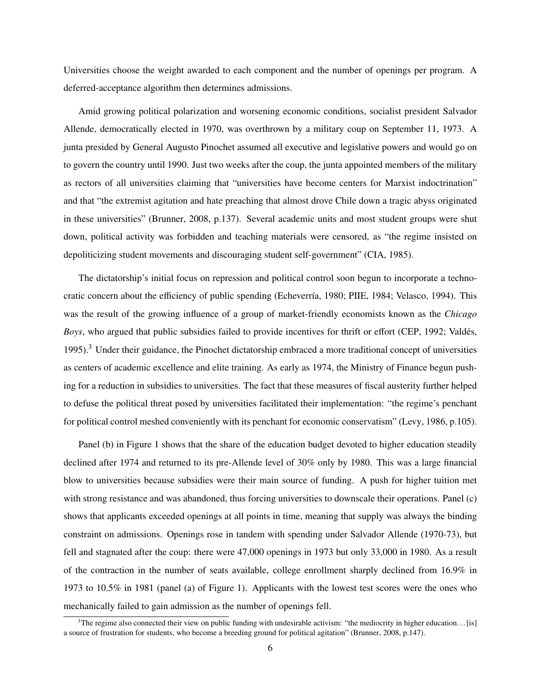Universities choose the weight awarded to each component and the number of openings per program. A deferred-acceptance algorithm then determines admissions.

Amid growing political polarization and worsening economic conditions, socialist president Salvador Allende, democratically elected in 1970, was overthrown by a military coup on September 11, 1973. A junta presided by General Augusto Pinochet assumed all executive and legislative powers and would go on to govern the country until 1990. Just two weeks after the coup, the junta appointed members of the military as rectors of all universities claiming that "universities have become centers for Marxist indoctrination" and that "the extremist agitation and hate preaching that almost drove Chile down a tragic abyss originated in these universities" [\(Brunner,](#page-16-10) [2008,](#page-16-10) p.137). Several academic units and most student groups were shut down, political activity was forbidden and teaching materials were censored, as "the regime insisted on depoliticizing student movements and discouraging student self-government" [\(CIA,](#page-16-11) [1985\)](#page-16-11).

The dictatorship's initial focus on repression and political control soon begun to incorporate a techno-cratic concern about the efficiency of public spending (Echeverría, [1980;](#page-16-12) [PIIE,](#page-17-13) [1984;](#page-17-13) [Velasco,](#page-18-5) [1994\)](#page-18-5). This was the result of the growing influence of a group of market-friendly economists known as the *Chicago Boys*, who argued that public subsidies failed to provide incentives for thrift or effort [\(CEP,](#page-16-13) [1992;](#page-16-13) Valdés, [1995\)](#page-18-6).[3](#page-6-0) Under their guidance, the Pinochet dictatorship embraced a more traditional concept of universities as centers of academic excellence and elite training. As early as 1974, the Ministry of Finance begun pushing for a reduction in subsidies to universities. The fact that these measures of fiscal austerity further helped to defuse the political threat posed by universities facilitated their implementation: "the regime's penchant for political control meshed conveniently with its penchant for economic conservatism" [\(Levy,](#page-17-14) [1986,](#page-17-14) p.105).

Panel (b) in Figure [1](#page-19-0) shows that the share of the education budget devoted to higher education steadily declined after 1974 and returned to its pre-Allende level of 30% only by 1980. This was a large financial blow to universities because subsidies were their main source of funding. A push for higher tuition met with strong resistance and was abandoned, thus forcing universities to downscale their operations. Panel (c) shows that applicants exceeded openings at all points in time, meaning that supply was always the binding constraint on admissions. Openings rose in tandem with spending under Salvador Allende (1970-73), but fell and stagnated after the coup: there were 47,000 openings in 1973 but only 33,000 in 1980. As a result of the contraction in the number of seats available, college enrollment sharply declined from 16.9% in 1973 to 10.5% in 1981 (panel (a) of Figure [1\)](#page-19-0). Applicants with the lowest test scores were the ones who mechanically failed to gain admission as the number of openings fell.

<span id="page-6-0"></span> $3$ The regime also connected their view on public funding with undesirable activism: "the mediocrity in higher education... [is] a source of frustration for students, who become a breeding ground for political agitation" [\(Brunner,](#page-16-10) [2008,](#page-16-10) p.147).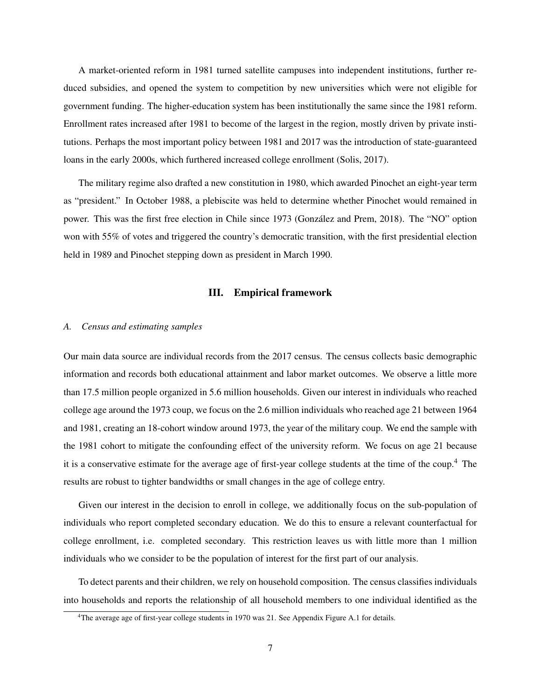A market-oriented reform in 1981 turned satellite campuses into independent institutions, further reduced subsidies, and opened the system to competition by new universities which were not eligible for government funding. The higher-education system has been institutionally the same since the 1981 reform. Enrollment rates increased after 1981 to become of the largest in the region, mostly driven by private institutions. Perhaps the most important policy between 1981 and 2017 was the introduction of state-guaranteed loans in the early 2000s, which furthered increased college enrollment [\(Solis,](#page-18-7) [2017\)](#page-18-7).

The military regime also drafted a new constitution in 1980, which awarded Pinochet an eight-year term as "president." In October 1988, a plebiscite was held to determine whether Pinochet would remained in power. This was the first free election in Chile since 1973 (González and Prem, [2018\)](#page-17-15). The "NO" option won with 55% of votes and triggered the country's democratic transition, with the first presidential election held in 1989 and Pinochet stepping down as president in March 1990.

## III. Empirical framework

#### *A. Census and estimating samples*

Our main data source are individual records from the 2017 census. The census collects basic demographic information and records both educational attainment and labor market outcomes. We observe a little more than 17.5 million people organized in 5.6 million households. Given our interest in individuals who reached college age around the 1973 coup, we focus on the 2.6 million individuals who reached age 21 between 1964 and 1981, creating an 18-cohort window around 1973, the year of the military coup. We end the sample with the 1981 cohort to mitigate the confounding effect of the university reform. We focus on age 21 because it is a conservative estimate for the average age of first-year college students at the time of the coup.[4](#page-7-0) The results are robust to tighter bandwidths or small changes in the age of college entry.

Given our interest in the decision to enroll in college, we additionally focus on the sub-population of individuals who report completed secondary education. We do this to ensure a relevant counterfactual for college enrollment, i.e. completed secondary. This restriction leaves us with little more than 1 million individuals who we consider to be the population of interest for the first part of our analysis.

To detect parents and their children, we rely on household composition. The census classifies individuals into households and reports the relationship of all household members to one individual identified as the

<span id="page-7-0"></span><sup>4</sup>The average age of first-year college students in 1970 was 21. See Appendix Figure [A.1](#page-32-0) for details.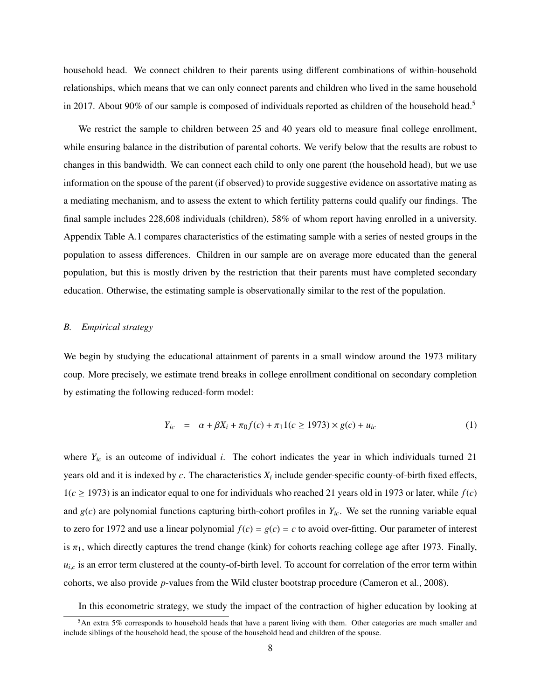household head. We connect children to their parents using different combinations of within-household relationships, which means that we can only connect parents and children who lived in the same household in 2017. About 90% of our sample is composed of individuals reported as children of the household head.<sup>[5](#page-8-0)</sup>

We restrict the sample to children between 25 and 40 years old to measure final college enrollment, while ensuring balance in the distribution of parental cohorts. We verify below that the results are robust to changes in this bandwidth. We can connect each child to only one parent (the household head), but we use information on the spouse of the parent (if observed) to provide suggestive evidence on assortative mating as a mediating mechanism, and to assess the extent to which fertility patterns could qualify our findings. The final sample includes 228,608 individuals (children), 58% of whom report having enrolled in a university. Appendix Table [A.1](#page-25-0) compares characteristics of the estimating sample with a series of nested groups in the population to assess differences. Children in our sample are on average more educated than the general population, but this is mostly driven by the restriction that their parents must have completed secondary education. Otherwise, the estimating sample is observationally similar to the rest of the population.

#### *B. Empirical strategy*

We begin by studying the educational attainment of parents in a small window around the 1973 military coup. More precisely, we estimate trend breaks in college enrollment conditional on secondary completion by estimating the following reduced-form model:

<span id="page-8-1"></span>
$$
Y_{ic} = \alpha + \beta X_i + \pi_0 f(c) + \pi_1 1(c \ge 1973) \times g(c) + u_{ic}
$$
 (1)

where  $Y_{ic}$  is an outcome of individual *i*. The cohort indicates the year in which individuals turned 21 years old and it is indexed by *c*. The characteristics *X<sup>i</sup>* include gender-specific county-of-birth fixed effects,  $1(c \ge 1973)$  is an indicator equal to one for individuals who reached 21 years old in 1973 or later, while  $f(c)$ and  $g(c)$  are polynomial functions capturing birth-cohort profiles in  $Y_{ic}$ . We set the running variable equal to zero for 1972 and use a linear polynomial  $f(c) = g(c) = c$  to avoid over-fitting. Our parameter of interest is  $\pi_1$ , which directly captures the trend change (kink) for cohorts reaching college age after 1973. Finally,  $u_{i,c}$  is an error term clustered at the county-of-birth level. To account for correlation of the error term within cohorts, we also provide *p*-values from the Wild cluster bootstrap procedure [\(Cameron et al.,](#page-16-14) [2008\)](#page-16-14).

<span id="page-8-0"></span>In this econometric strategy, we study the impact of the contraction of higher education by looking at

 $5An$  extra 5% corresponds to household heads that have a parent living with them. Other categories are much smaller and include siblings of the household head, the spouse of the household head and children of the spouse.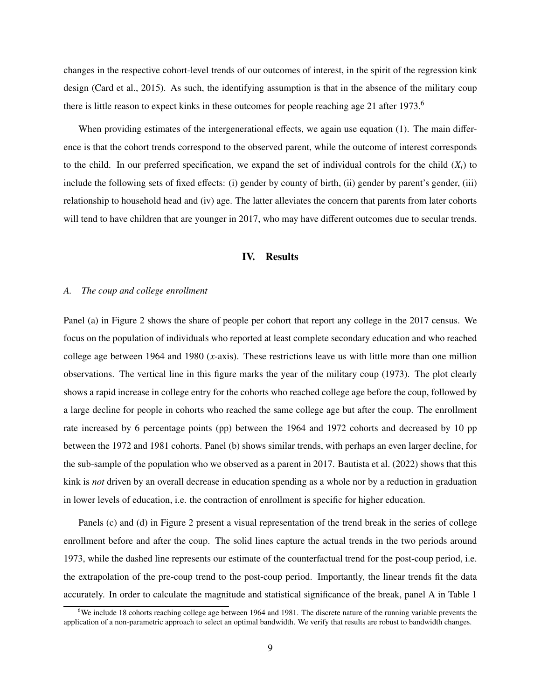changes in the respective cohort-level trends of our outcomes of interest, in the spirit of the regression kink design [\(Card et al.,](#page-16-3) [2015\)](#page-16-3). As such, the identifying assumption is that in the absence of the military coup there is little reason to expect kinks in these outcomes for people reaching age 21 after 1973.<sup>[6](#page-9-0)</sup>

When providing estimates of the intergenerational effects, we again use equation [\(1\)](#page-8-1). The main difference is that the cohort trends correspond to the observed parent, while the outcome of interest corresponds to the child. In our preferred specification, we expand the set of individual controls for the child  $(X_i)$  to include the following sets of fixed effects: (i) gender by county of birth, (ii) gender by parent's gender, (iii) relationship to household head and (iv) age. The latter alleviates the concern that parents from later cohorts will tend to have children that are younger in 2017, who may have different outcomes due to secular trends.

## IV. Results

#### *A. The coup and college enrollment*

Panel (a) in Figure [2](#page-20-0) shows the share of people per cohort that report any college in the 2017 census. We focus on the population of individuals who reported at least complete secondary education and who reached college age between 1964 and 1980 (*x*-axis). These restrictions leave us with little more than one million observations. The vertical line in this figure marks the year of the military coup (1973). The plot clearly shows a rapid increase in college entry for the cohorts who reached college age before the coup, followed by a large decline for people in cohorts who reached the same college age but after the coup. The enrollment rate increased by 6 percentage points (pp) between the 1964 and 1972 cohorts and decreased by 10 pp between the 1972 and 1981 cohorts. Panel (b) shows similar trends, with perhaps an even larger decline, for the sub-sample of the population who we observed as a parent in 2017. [Bautista et al.](#page-15-0) [\(2022\)](#page-15-0) shows that this kink is *not* driven by an overall decrease in education spending as a whole nor by a reduction in graduation in lower levels of education, i.e. the contraction of enrollment is specific for higher education.

Panels (c) and (d) in Figure [2](#page-20-0) present a visual representation of the trend break in the series of college enrollment before and after the coup. The solid lines capture the actual trends in the two periods around 1973, while the dashed line represents our estimate of the counterfactual trend for the post-coup period, i.e. the extrapolation of the pre-coup trend to the post-coup period. Importantly, the linear trends fit the data accurately. In order to calculate the magnitude and statistical significance of the break, panel A in Table [1](#page-22-0)

<span id="page-9-0"></span><sup>&</sup>lt;sup>6</sup>We include 18 cohorts reaching college age between 1964 and 1981. The discrete nature of the running variable prevents the application of a non-parametric approach to select an optimal bandwidth. We verify that results are robust to bandwidth changes.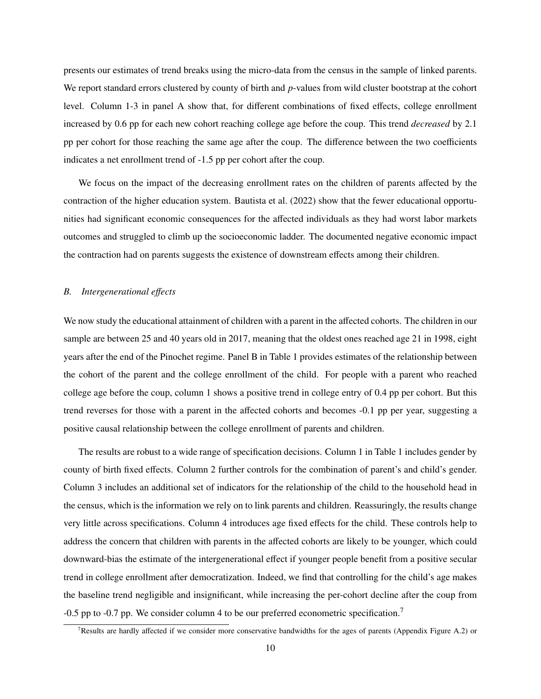presents our estimates of trend breaks using the micro-data from the census in the sample of linked parents. We report standard errors clustered by county of birth and *p*-values from wild cluster bootstrap at the cohort level. Column 1-3 in panel A show that, for different combinations of fixed effects, college enrollment increased by 0.6 pp for each new cohort reaching college age before the coup. This trend *decreased* by 2.1 pp per cohort for those reaching the same age after the coup. The difference between the two coefficients indicates a net enrollment trend of -1.5 pp per cohort after the coup.

We focus on the impact of the decreasing enrollment rates on the children of parents affected by the contraction of the higher education system. [Bautista et al.](#page-15-0) [\(2022\)](#page-15-0) show that the fewer educational opportunities had significant economic consequences for the affected individuals as they had worst labor markets outcomes and struggled to climb up the socioeconomic ladder. The documented negative economic impact the contraction had on parents suggests the existence of downstream effects among their children.

### *B. Intergenerational e*ff*ects*

We now study the educational attainment of children with a parent in the affected cohorts. The children in our sample are between 25 and 40 years old in 2017, meaning that the oldest ones reached age 21 in 1998, eight years after the end of the Pinochet regime. Panel B in Table [1](#page-22-0) provides estimates of the relationship between the cohort of the parent and the college enrollment of the child. For people with a parent who reached college age before the coup, column 1 shows a positive trend in college entry of 0.4 pp per cohort. But this trend reverses for those with a parent in the affected cohorts and becomes -0.1 pp per year, suggesting a positive causal relationship between the college enrollment of parents and children.

The results are robust to a wide range of specification decisions. Column 1 in Table [1](#page-22-0) includes gender by county of birth fixed effects. Column 2 further controls for the combination of parent's and child's gender. Column 3 includes an additional set of indicators for the relationship of the child to the household head in the census, which is the information we rely on to link parents and children. Reassuringly, the results change very little across specifications. Column 4 introduces age fixed effects for the child. These controls help to address the concern that children with parents in the affected cohorts are likely to be younger, which could downward-bias the estimate of the intergenerational effect if younger people benefit from a positive secular trend in college enrollment after democratization. Indeed, we find that controlling for the child's age makes the baseline trend negligible and insignificant, while increasing the per-cohort decline after the coup from -0.5 pp to -0.[7](#page-10-0) pp. We consider column 4 to be our preferred econometric specification.<sup>7</sup>

<span id="page-10-0"></span><sup>7</sup>Results are hardly affected if we consider more conservative bandwidths for the ages of parents (Appendix Figure [A.2\)](#page-33-0) or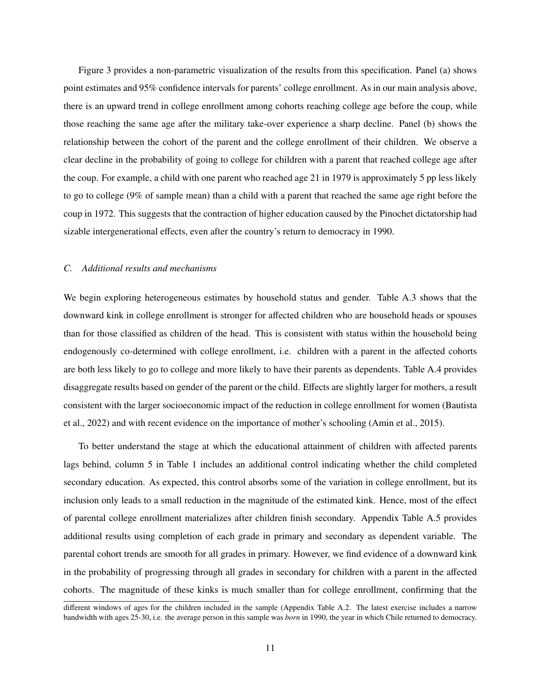Figure [3](#page-21-0) provides a non-parametric visualization of the results from this specification. Panel (a) shows point estimates and 95% confidence intervals for parents' college enrollment. As in our main analysis above, there is an upward trend in college enrollment among cohorts reaching college age before the coup, while those reaching the same age after the military take-over experience a sharp decline. Panel (b) shows the relationship between the cohort of the parent and the college enrollment of their children. We observe a clear decline in the probability of going to college for children with a parent that reached college age after the coup. For example, a child with one parent who reached age 21 in 1979 is approximately 5 pp less likely to go to college (9% of sample mean) than a child with a parent that reached the same age right before the coup in 1972. This suggests that the contraction of higher education caused by the Pinochet dictatorship had sizable intergenerational effects, even after the country's return to democracy in 1990.

### *C. Additional results and mechanisms*

We begin exploring heterogeneous estimates by household status and gender. Table [A.3](#page-27-0) shows that the downward kink in college enrollment is stronger for affected children who are household heads or spouses than for those classified as children of the head. This is consistent with status within the household being endogenously co-determined with college enrollment, i.e. children with a parent in the affected cohorts are both less likely to go to college and more likely to have their parents as dependents. Table [A.4](#page-28-0) provides disaggregate results based on gender of the parent or the child. Effects are slightly larger for mothers, a result consistent with the larger socioeconomic impact of the reduction in college enrollment for women [\(Bautista](#page-15-0) [et al.,](#page-15-0) [2022\)](#page-15-0) and with recent evidence on the importance of mother's schooling [\(Amin et al.,](#page-15-8) [2015\)](#page-15-8).

To better understand the stage at which the educational attainment of children with affected parents lags behind, column 5 in Table [1](#page-22-0) includes an additional control indicating whether the child completed secondary education. As expected, this control absorbs some of the variation in college enrollment, but its inclusion only leads to a small reduction in the magnitude of the estimated kink. Hence, most of the effect of parental college enrollment materializes after children finish secondary. Appendix Table [A.5](#page-29-0) provides additional results using completion of each grade in primary and secondary as dependent variable. The parental cohort trends are smooth for all grades in primary. However, we find evidence of a downward kink in the probability of progressing through all grades in secondary for children with a parent in the affected cohorts. The magnitude of these kinks is much smaller than for college enrollment, confirming that the

different windows of ages for the children included in the sample (Appendix Table [A.2.](#page-26-0) The latest exercise includes a narrow bandwidth with ages 25-30, i.e. the average person in this sample was *born* in 1990, the year in which Chile returned to democracy.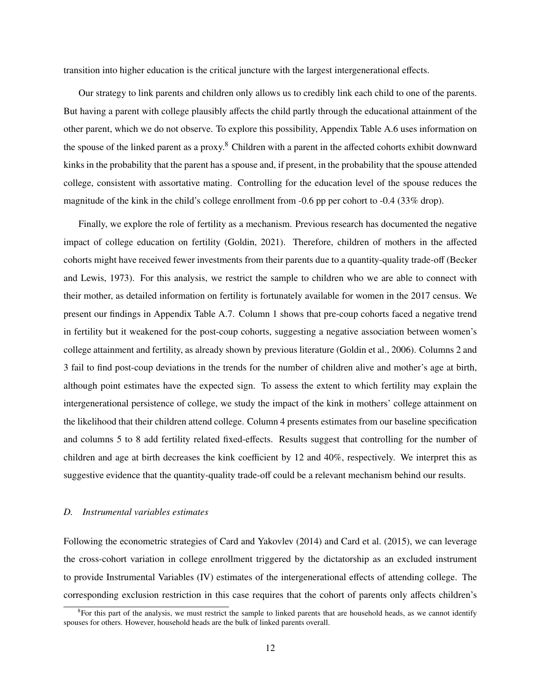transition into higher education is the critical juncture with the largest intergenerational effects.

Our strategy to link parents and children only allows us to credibly link each child to one of the parents. But having a parent with college plausibly affects the child partly through the educational attainment of the other parent, which we do not observe. To explore this possibility, Appendix Table [A.6](#page-30-0) uses information on the spouse of the linked parent as a proxy.[8](#page-12-0) Children with a parent in the affected cohorts exhibit downward kinks in the probability that the parent has a spouse and, if present, in the probability that the spouse attended college, consistent with assortative mating. Controlling for the education level of the spouse reduces the magnitude of the kink in the child's college enrollment from -0.6 pp per cohort to -0.4 (33% drop).

Finally, we explore the role of fertility as a mechanism. Previous research has documented the negative impact of college education on fertility [\(Goldin,](#page-16-15) [2021\)](#page-16-15). Therefore, children of mothers in the affected cohorts might have received fewer investments from their parents due to a quantity-quality trade-off [\(Becker](#page-15-4) [and Lewis,](#page-15-4) [1973\)](#page-15-4). For this analysis, we restrict the sample to children who we are able to connect with their mother, as detailed information on fertility is fortunately available for women in the 2017 census. We present our findings in Appendix Table [A.7.](#page-31-0) Column 1 shows that pre-coup cohorts faced a negative trend in fertility but it weakened for the post-coup cohorts, suggesting a negative association between women's college attainment and fertility, as already shown by previous literature [\(Goldin et al.,](#page-17-16) [2006\)](#page-17-16). Columns 2 and 3 fail to find post-coup deviations in the trends for the number of children alive and mother's age at birth, although point estimates have the expected sign. To assess the extent to which fertility may explain the intergenerational persistence of college, we study the impact of the kink in mothers' college attainment on the likelihood that their children attend college. Column 4 presents estimates from our baseline specification and columns 5 to 8 add fertility related fixed-effects. Results suggest that controlling for the number of children and age at birth decreases the kink coefficient by 12 and 40%, respectively. We interpret this as suggestive evidence that the quantity-quality trade-off could be a relevant mechanism behind our results.

## *D. Instrumental variables estimates*

Following the econometric strategies of [Card and Yakovlev](#page-16-16) [\(2014\)](#page-16-16) and [Card et al.](#page-16-3) [\(2015\)](#page-16-3), we can leverage the cross-cohort variation in college enrollment triggered by the dictatorship as an excluded instrument to provide Instrumental Variables (IV) estimates of the intergenerational effects of attending college. The corresponding exclusion restriction in this case requires that the cohort of parents only affects children's

<span id="page-12-0"></span> ${}^{8}$ For this part of the analysis, we must restrict the sample to linked parents that are household heads, as we cannot identify spouses for others. However, household heads are the bulk of linked parents overall.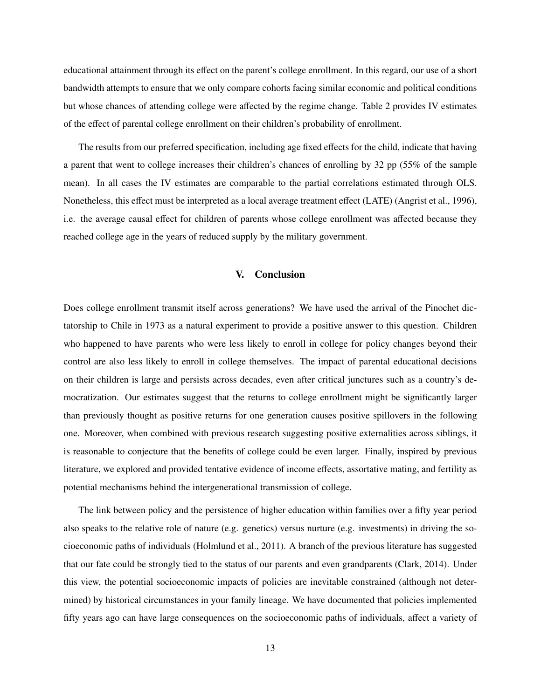educational attainment through its effect on the parent's college enrollment. In this regard, our use of a short bandwidth attempts to ensure that we only compare cohorts facing similar economic and political conditions but whose chances of attending college were affected by the regime change. Table [2](#page-23-0) provides IV estimates of the effect of parental college enrollment on their children's probability of enrollment.

The results from our preferred specification, including age fixed effects for the child, indicate that having a parent that went to college increases their children's chances of enrolling by 32 pp (55% of the sample mean). In all cases the IV estimates are comparable to the partial correlations estimated through OLS. Nonetheless, this effect must be interpreted as a local average treatment effect (LATE) [\(Angrist et al.,](#page-15-15) [1996\)](#page-15-15), i.e. the average causal effect for children of parents whose college enrollment was affected because they reached college age in the years of reduced supply by the military government.

## V. Conclusion

Does college enrollment transmit itself across generations? We have used the arrival of the Pinochet dictatorship to Chile in 1973 as a natural experiment to provide a positive answer to this question. Children who happened to have parents who were less likely to enroll in college for policy changes beyond their control are also less likely to enroll in college themselves. The impact of parental educational decisions on their children is large and persists across decades, even after critical junctures such as a country's democratization. Our estimates suggest that the returns to college enrollment might be significantly larger than previously thought as positive returns for one generation causes positive spillovers in the following one. Moreover, when combined with previous research suggesting positive externalities across siblings, it is reasonable to conjecture that the benefits of college could be even larger. Finally, inspired by previous literature, we explored and provided tentative evidence of income effects, assortative mating, and fertility as potential mechanisms behind the intergenerational transmission of college.

The link between policy and the persistence of higher education within families over a fifty year period also speaks to the relative role of nature (e.g. genetics) versus nurture (e.g. investments) in driving the socioeconomic paths of individuals [\(Holmlund et al.,](#page-17-17) [2011\)](#page-17-17). A branch of the previous literature has suggested that our fate could be strongly tied to the status of our parents and even grandparents [\(Clark,](#page-16-17) [2014\)](#page-16-17). Under this view, the potential socioeconomic impacts of policies are inevitable constrained (although not determined) by historical circumstances in your family lineage. We have documented that policies implemented fifty years ago can have large consequences on the socioeconomic paths of individuals, affect a variety of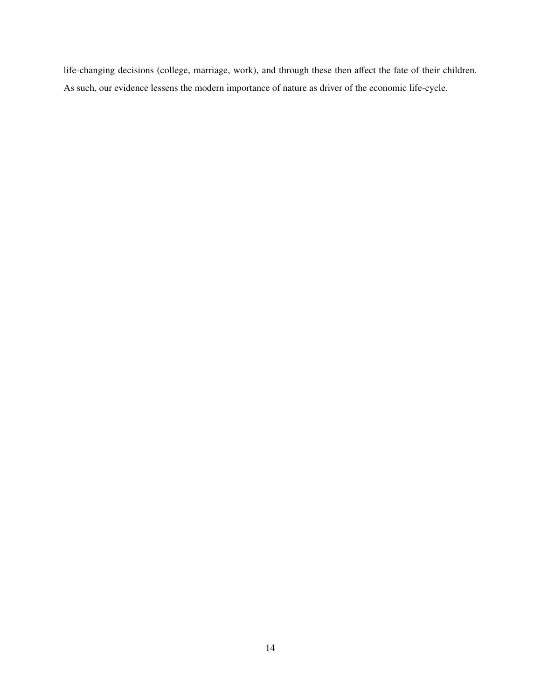life-changing decisions (college, marriage, work), and through these then affect the fate of their children. As such, our evidence lessens the modern importance of nature as driver of the economic life-cycle.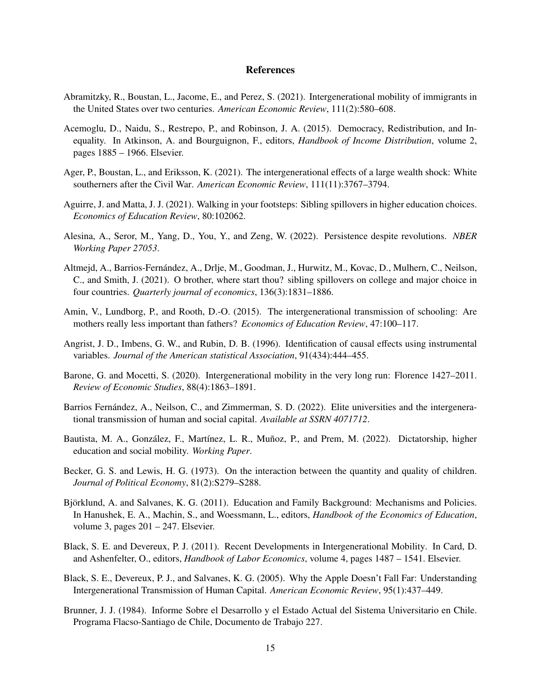#### References

- <span id="page-15-12"></span>Abramitzky, R., Boustan, L., Jacome, E., and Perez, S. (2021). Intergenerational mobility of immigrants in the United States over two centuries. *American Economic Review*, 111(2):580–608.
- <span id="page-15-13"></span>Acemoglu, D., Naidu, S., Restrepo, P., and Robinson, J. A. (2015). Democracy, Redistribution, and Inequality. In Atkinson, A. and Bourguignon, F., editors, *Handbook of Income Distribution*, volume 2, pages 1885 – 1966. Elsevier.
- <span id="page-15-1"></span>Ager, P., Boustan, L., and Eriksson, K. (2021). The intergenerational effects of a large wealth shock: White southerners after the Civil War. *American Economic Review*, 111(11):3767–3794.
- <span id="page-15-9"></span>Aguirre, J. and Matta, J. J. (2021). Walking in your footsteps: Sibling spillovers in higher education choices. *Economics of Education Review*, 80:102062.
- <span id="page-15-3"></span>Alesina, A., Seror, M., Yang, D., You, Y., and Zeng, W. (2022). Persistence despite revolutions. *NBER Working Paper 27053*.
- <span id="page-15-2"></span>Altmejd, A., Barrios-Fernandez, A., Drlje, M., Goodman, J., Hurwitz, M., Kovac, D., Mulhern, C., Neilson, ´ C., and Smith, J. (2021). O brother, where start thou? sibling spillovers on college and major choice in four countries. *Quarterly journal of economics*, 136(3):1831–1886.
- <span id="page-15-8"></span>Amin, V., Lundborg, P., and Rooth, D.-O. (2015). The intergenerational transmission of schooling: Are mothers really less important than fathers? *Economics of Education Review*, 47:100–117.
- <span id="page-15-15"></span>Angrist, J. D., Imbens, G. W., and Rubin, D. B. (1996). Identification of causal effects using instrumental variables. *Journal of the American statistical Association*, 91(434):444–455.
- <span id="page-15-11"></span>Barone, G. and Mocetti, S. (2020). Intergenerational mobility in the very long run: Florence 1427–2011. *Review of Economic Studies*, 88(4):1863–1891.
- <span id="page-15-10"></span>Barrios Fernández, A., Neilson, C., and Zimmerman, S. D. (2022). Elite universities and the intergenerational transmission of human and social capital. *Available at SSRN 4071712*.
- <span id="page-15-0"></span>Bautista, M. A., González, F., Martínez, L. R., Muñoz, P., and Prem, M. (2022). Dictatorship, higher education and social mobility. *Working Paper*.
- <span id="page-15-4"></span>Becker, G. S. and Lewis, H. G. (1973). On the interaction between the quantity and quality of children. *Journal of Political Economy*, 81(2):S279–S288.
- <span id="page-15-6"></span>Bjorklund, A. and Salvanes, K. G. (2011). Education and Family Background: Mechanisms and Policies. ¨ In Hanushek, E. A., Machin, S., and Woessmann, L., editors, *Handbook of the Economics of Education*, volume 3, pages  $201 - 247$ . Elsevier.
- <span id="page-15-5"></span>Black, S. E. and Devereux, P. J. (2011). Recent Developments in Intergenerational Mobility. In Card, D. and Ashenfelter, O., editors, *Handbook of Labor Economics*, volume 4, pages 1487 – 1541. Elsevier.
- <span id="page-15-7"></span>Black, S. E., Devereux, P. J., and Salvanes, K. G. (2005). Why the Apple Doesn't Fall Far: Understanding Intergenerational Transmission of Human Capital. *American Economic Review*, 95(1):437–449.
- <span id="page-15-14"></span>Brunner, J. J. (1984). Informe Sobre el Desarrollo y el Estado Actual del Sistema Universitario en Chile. Programa Flacso-Santiago de Chile, Documento de Trabajo 227.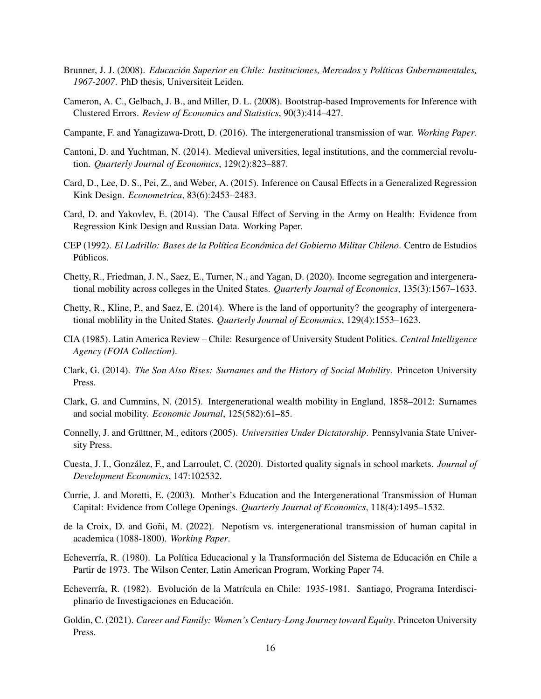- <span id="page-16-10"></span>Brunner, J. J. (2008). *Educación Superior en Chile: Instituciones, Mercados y Políticas Gubernamentales, 1967-2007*. PhD thesis, Universiteit Leiden.
- <span id="page-16-14"></span>Cameron, A. C., Gelbach, J. B., and Miller, D. L. (2008). Bootstrap-based Improvements for Inference with Clustered Errors. *Review of Economics and Statistics*, 90(3):414–427.
- <span id="page-16-4"></span>Campante, F. and Yanagizawa-Drott, D. (2016). The intergenerational transmission of war. *Working Paper*.
- <span id="page-16-0"></span>Cantoni, D. and Yuchtman, N. (2014). Medieval universities, legal institutions, and the commercial revolution. *Quarterly Journal of Economics*, 129(2):823–887.
- <span id="page-16-3"></span>Card, D., Lee, D. S., Pei, Z., and Weber, A. (2015). Inference on Causal Effects in a Generalized Regression Kink Design. *Econometrica*, 83(6):2453–2483.
- <span id="page-16-16"></span>Card, D. and Yakovlev, E. (2014). The Causal Effect of Serving in the Army on Health: Evidence from Regression Kink Design and Russian Data. Working Paper.
- <span id="page-16-13"></span>CEP (1992). *El Ladrillo: Bases de la Pol´ıtica Econ´omica del Gobierno Militar Chileno*. Centro de Estudios Públicos.
- <span id="page-16-2"></span>Chetty, R., Friedman, J. N., Saez, E., Turner, N., and Yagan, D. (2020). Income segregation and intergenerational mobility across colleges in the United States. *Quarterly Journal of Economics*, 135(3):1567–1633.
- <span id="page-16-1"></span>Chetty, R., Kline, P., and Saez, E. (2014). Where is the land of opportunity? the geography of intergenerational moblility in the United States. *Quarterly Journal of Economics*, 129(4):1553–1623.
- <span id="page-16-11"></span>CIA (1985). Latin America Review – Chile: Resurgence of University Student Politics. *Central Intelligence Agency (FOIA Collection)*.
- <span id="page-16-17"></span>Clark, G. (2014). *The Son Also Rises: Surnames and the History of Social Mobility*. Princeton University Press.
- <span id="page-16-6"></span>Clark, G. and Cummins, N. (2015). Intergenerational wealth mobility in England, 1858–2012: Surnames and social mobility. *Economic Journal*, 125(582):61–85.
- <span id="page-16-9"></span>Connelly, J. and Grüttner, M., editors (2005). *Universities Under Dictatorship*. Pennsylvania State University Press.
- <span id="page-16-5"></span>Cuesta, J. I., González, F., and Larroulet, C. (2020). Distorted quality signals in school markets. *Journal of Development Economics*, 147:102532.
- <span id="page-16-8"></span>Currie, J. and Moretti, E. (2003). Mother's Education and the Intergenerational Transmission of Human Capital: Evidence from College Openings. *Quarterly Journal of Economics*, 118(4):1495–1532.
- <span id="page-16-7"></span>de la Croix, D. and Goñi, M. (2022). Nepotism vs. intergenerational transmission of human capital in academica (1088-1800). *Working Paper*.
- <span id="page-16-12"></span>Echeverría, R. (1980). La Política Educacional y la Transformación del Sistema de Educación en Chile a Partir de 1973. The Wilson Center, Latin American Program, Working Paper 74.
- <span id="page-16-18"></span>Echeverría, R. (1982). Evolución de la Matrícula en Chile: 1935-1981. Santiago, Programa Interdisciplinario de Investigaciones en Educación.
- <span id="page-16-15"></span>Goldin, C. (2021). *Career and Family: Women's Century-Long Journey toward Equity*. Princeton University Press.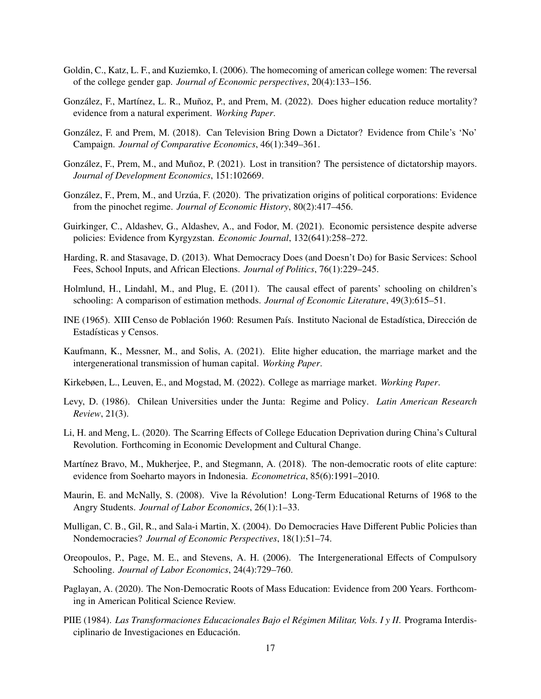- <span id="page-17-18"></span><span id="page-17-16"></span>Goldin, C., Katz, L. F., and Kuziemko, I. (2006). The homecoming of american college women: The reversal of the college gender gap. *Journal of Economic perspectives*, 20(4):133–156.
- <span id="page-17-0"></span>González, F., Martínez, L. R., Muñoz, P., and Prem, M. (2022). Does higher education reduce mortality? evidence from a natural experiment. *Working Paper*.
- <span id="page-17-15"></span>Gonzalez, F. and Prem, M. (2018). Can Television Bring Down a Dictator? Evidence from Chile's 'No' ´ Campaign. *Journal of Comparative Economics*, 46(1):349–361.
- <span id="page-17-8"></span>González, F., Prem, M., and Muñoz, P. (2021). Lost in transition? The persistence of dictatorship mayors. *Journal of Development Economics*, 151:102669.
- <span id="page-17-7"></span>González, F., Prem, M., and Urzúa, F. (2020). The privatization origins of political corporations: Evidence from the pinochet regime. *Journal of Economic History*, 80(2):417–456.
- <span id="page-17-1"></span>Guirkinger, C., Aldashev, G., Aldashev, A., and Fodor, M. (2021). Economic persistence despite adverse policies: Evidence from Kyrgyzstan. *Economic Journal*, 132(641):258–272.
- <span id="page-17-10"></span>Harding, R. and Stasavage, D. (2013). What Democracy Does (and Doesn't Do) for Basic Services: School Fees, School Inputs, and African Elections. *Journal of Politics*, 76(1):229–245.
- <span id="page-17-17"></span>Holmlund, H., Lindahl, M., and Plug, E. (2011). The causal effect of parents' schooling on children's schooling: A comparison of estimation methods. *Journal of Economic Literature*, 49(3):615–51.
- <span id="page-17-19"></span>INE (1965). XIII Censo de Población 1960: Resumen País. Instituto Nacional de Estadística, Dirección de Estadísticas y Censos.
- <span id="page-17-2"></span>Kaufmann, K., Messner, M., and Solis, A. (2021). Elite higher education, the marriage market and the intergenerational transmission of human capital. *Working Paper*.
- <span id="page-17-3"></span>Kirkebøen, L., Leuven, E., and Mogstad, M. (2022). College as marriage market. *Working Paper*.
- <span id="page-17-14"></span>Levy, D. (1986). Chilean Universities under the Junta: Regime and Policy. *Latin American Research Review*, 21(3).
- <span id="page-17-12"></span>Li, H. and Meng, L. (2020). The Scarring Effects of College Education Deprivation during China's Cultural Revolution. Forthcoming in Economic Development and Cultural Change.
- <span id="page-17-6"></span>Martínez Bravo, M., Mukherjee, P., and Stegmann, A. (2018). The non-democratic roots of elite capture: evidence from Soeharto mayors in Indonesia. *Econometrica*, 85(6):1991–2010.
- <span id="page-17-5"></span>Maurin, E. and McNally, S. (2008). Vive la Révolution! Long-Term Educational Returns of 1968 to the Angry Students. *Journal of Labor Economics*, 26(1):1–33.
- <span id="page-17-9"></span>Mulligan, C. B., Gil, R., and Sala-i Martin, X. (2004). Do Democracies Have Different Public Policies than Nondemocracies? *Journal of Economic Perspectives*, 18(1):51–74.
- <span id="page-17-4"></span>Oreopoulos, P., Page, M. E., and Stevens, A. H. (2006). The Intergenerational Effects of Compulsory Schooling. *Journal of Labor Economics*, 24(4):729–760.
- <span id="page-17-11"></span>Paglayan, A. (2020). The Non-Democratic Roots of Mass Education: Evidence from 200 Years. Forthcoming in American Political Science Review.
- <span id="page-17-13"></span>PIIE (1984). *Las Transformaciones Educacionales Bajo el Régimen Militar, Vols. I y II*. Programa Interdisciplinario de Investigaciones en Educacion. ´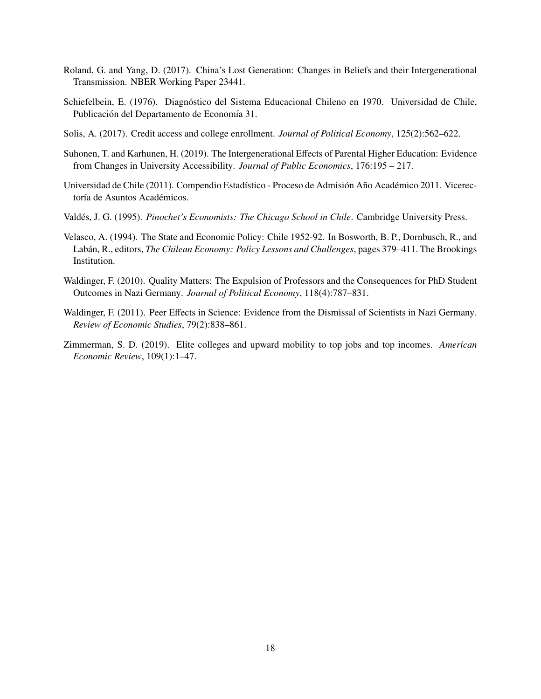- <span id="page-18-8"></span><span id="page-18-1"></span>Roland, G. and Yang, D. (2017). China's Lost Generation: Changes in Beliefs and their Intergenerational Transmission. NBER Working Paper 23441.
- <span id="page-18-9"></span>Schiefelbein, E. (1976). Diagnóstico del Sistema Educacional Chileno en 1970. Universidad de Chile, Publicación del Departamento de Economía 31.
- <span id="page-18-7"></span>Solis, A. (2017). Credit access and college enrollment. *Journal of Political Economy*, 125(2):562–622.
- <span id="page-18-2"></span>Suhonen, T. and Karhunen, H. (2019). The Intergenerational Effects of Parental Higher Education: Evidence from Changes in University Accessibility. *Journal of Public Economics*, 176:195 – 217.
- Universidad de Chile (2011). Compendio Estadístico Proceso de Admisión Año Académico 2011. Vicerectoría de Asuntos Académicos.
- <span id="page-18-6"></span>Valdés, J. G. (1995). *Pinochet's Economists: The Chicago School in Chile*. Cambridge University Press.
- <span id="page-18-5"></span>Velasco, A. (1994). The State and Economic Policy: Chile 1952-92. In Bosworth, B. P., Dornbusch, R., and Labán, R., editors, *The Chilean Economy: Policy Lessons and Challenges*, pages 379–411. The Brookings Institution.
- <span id="page-18-3"></span>Waldinger, F. (2010). Quality Matters: The Expulsion of Professors and the Consequences for PhD Student Outcomes in Nazi Germany. *Journal of Political Economy*, 118(4):787–831.
- <span id="page-18-4"></span>Waldinger, F. (2011). Peer Effects in Science: Evidence from the Dismissal of Scientists in Nazi Germany. *Review of Economic Studies*, 79(2):838–861.
- <span id="page-18-0"></span>Zimmerman, S. D. (2019). Elite colleges and upward mobility to top jobs and top incomes. *American Economic Review*, 109(1):1–47.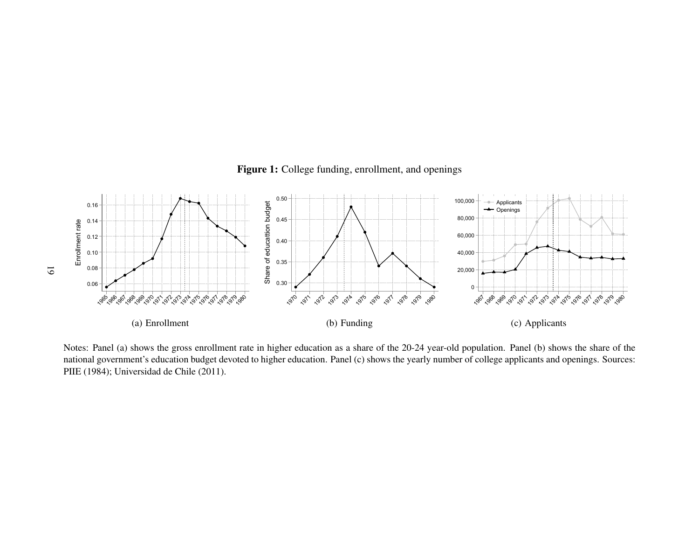<span id="page-19-0"></span>



Notes: Panel (a) shows the gross enrollment rate in higher education as <sup>a</sup> share of the 20-24 year-old population. Panel (b) shows the share of the national government's education budget devoted to higher education. Panel (c) shows the yearly number of college applicants and openings. Sources:[PIIE](#page-17-18) [\(1984\)](#page-17-18); [Universidad](#page-18-8) de Chile [\(2011\)](#page-18-8).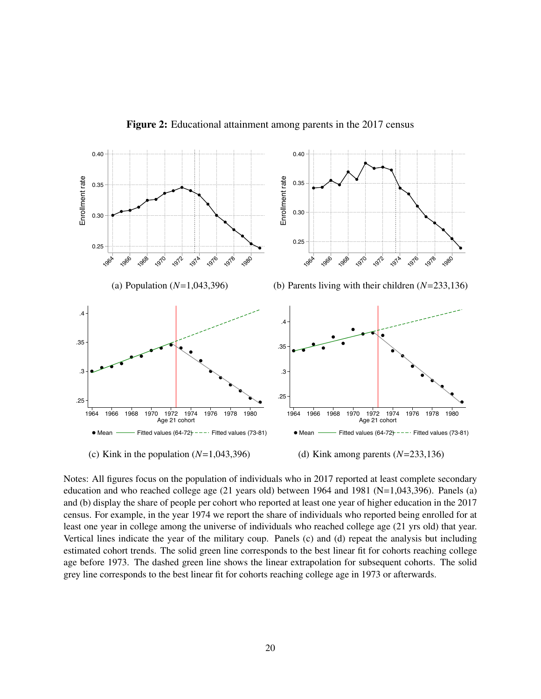<span id="page-20-0"></span>

Figure 2: Educational attainment among parents in the 2017 census

Notes: All figures focus on the population of individuals who in 2017 reported at least complete secondary education and who reached college age  $(21 \text{ years old})$  between 1964 and 1981 (N=1,043,396). Panels (a) and (b) display the share of people per cohort who reported at least one year of higher education in the 2017 census. For example, in the year 1974 we report the share of individuals who reported being enrolled for at least one year in college among the universe of individuals who reached college age (21 yrs old) that year. Vertical lines indicate the year of the military coup. Panels (c) and (d) repeat the analysis but including estimated cohort trends. The solid green line corresponds to the best linear fit for cohorts reaching college age before 1973. The dashed green line shows the linear extrapolation for subsequent cohorts. The solid grey line corresponds to the best linear fit for cohorts reaching college age in 1973 or afterwards.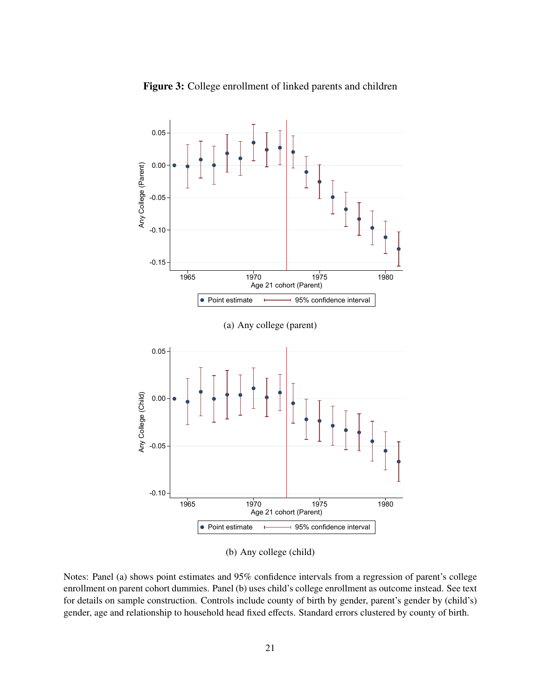<span id="page-21-0"></span>

Figure 3: College enrollment of linked parents and children

(b) Any college (child)

Notes: Panel (a) shows point estimates and 95% confidence intervals from a regression of parent's college enrollment on parent cohort dummies. Panel (b) uses child's college enrollment as outcome instead. See text for details on sample construction. Controls include county of birth by gender, parent's gender by (child's) gender, age and relationship to household head fixed effects. Standard errors clustered by county of birth.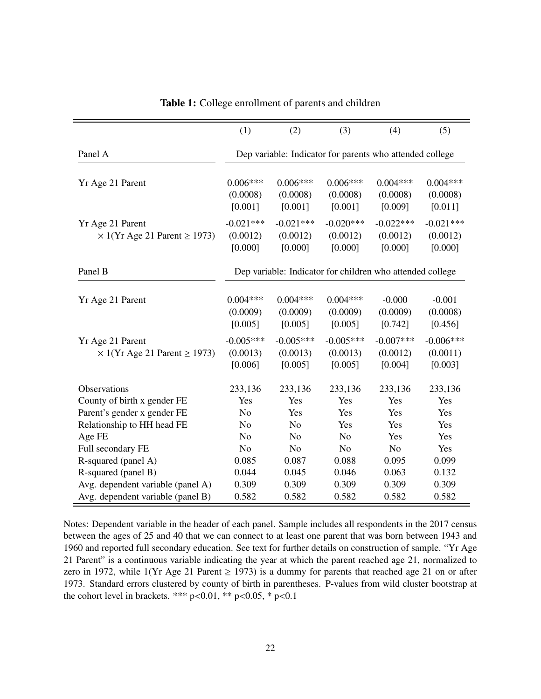<span id="page-22-0"></span>

|                                                                        | (1)                                | (2)                                                       | (3)                                | (4)                                | (5)                                |
|------------------------------------------------------------------------|------------------------------------|-----------------------------------------------------------|------------------------------------|------------------------------------|------------------------------------|
| Panel A                                                                |                                    | Dep variable: Indicator for parents who attended college  |                                    |                                    |                                    |
| Yr Age 21 Parent                                                       | $0.006***$<br>(0.0008)<br>[0.001]  | $0.006***$<br>(0.0008)<br>[0.001]                         | $0.006***$<br>(0.0008)<br>[0.001]  | $0.004***$<br>(0.0008)<br>[0.009]  | $0.004***$<br>(0.0008)<br>[0.011]  |
| Yr Age 21 Parent<br>$\times$ 1(Yr Age 21 Parent $\ge$ 1973)            | $-0.021***$<br>(0.0012)<br>[0.000] | $-0.021***$<br>(0.0012)<br>[0.000]                        | $-0.020***$<br>(0.0012)<br>[0.000] | $-0.022***$<br>(0.0012)<br>[0.000] | $-0.021***$<br>(0.0012)<br>[0.000] |
| Panel B                                                                |                                    | Dep variable: Indicator for children who attended college |                                    |                                    |                                    |
| Yr Age 21 Parent                                                       | $0.004***$<br>(0.0009)<br>[0.005]  | $0.004***$<br>(0.0009)<br>[0.005]                         | $0.004***$<br>(0.0009)<br>[0.005]  | $-0.000$<br>(0.0009)<br>[0.742]    | $-0.001$<br>(0.0008)<br>[0.456]    |
| Yr Age 21 Parent<br>$\times$ 1(Yr Age 21 Parent $\ge$ 1973)            | $-0.005***$<br>(0.0013)<br>[0.006] | $-0.005***$<br>(0.0013)<br>[0.005]                        | $-0.005***$<br>(0.0013)<br>[0.005] | $-0.007***$<br>(0.0012)<br>[0.004] | $-0.006***$<br>(0.0011)<br>[0.003] |
| Observations                                                           | 233,136                            | 233,136                                                   | 233,136                            | 233,136                            | 233,136                            |
| County of birth x gender FE                                            | Yes                                | Yes                                                       | Yes                                | Yes                                | Yes                                |
| Parent's gender x gender FE                                            | N <sub>o</sub>                     | Yes                                                       | Yes                                | Yes                                | Yes                                |
| Relationship to HH head FE                                             | N <sub>o</sub>                     | N <sub>o</sub>                                            | Yes                                | Yes                                | Yes                                |
| Age FE                                                                 | N <sub>o</sub>                     | N <sub>o</sub>                                            | N <sub>o</sub>                     | Yes                                | Yes                                |
| Full secondary FE                                                      | N <sub>0</sub>                     | N <sub>o</sub>                                            | N <sub>o</sub>                     | N <sub>o</sub>                     | Yes                                |
| R-squared (panel A)                                                    | 0.085                              | 0.087                                                     | 0.088                              | 0.095                              | 0.099                              |
| R-squared (panel B)                                                    | 0.044<br>0.309                     | 0.045<br>0.309                                            | 0.046<br>0.309                     | 0.063<br>0.309                     | 0.132<br>0.309                     |
| Avg. dependent variable (panel A)<br>Avg. dependent variable (panel B) | 0.582                              | 0.582                                                     | 0.582                              | 0.582                              | 0.582                              |

Table 1: College enrollment of parents and children

Notes: Dependent variable in the header of each panel. Sample includes all respondents in the 2017 census between the ages of 25 and 40 that we can connect to at least one parent that was born between 1943 and 1960 and reported full secondary education. See text for further details on construction of sample. "Yr Age 21 Parent" is a continuous variable indicating the year at which the parent reached age 21, normalized to zero in 1972, while 1(Yr Age 21 Parent  $\geq$  1973) is a dummy for parents that reached age 21 on or after 1973. Standard errors clustered by county of birth in parentheses. P-values from wild cluster bootstrap at the cohort level in brackets. \*\*\* p<0.01, \*\* p<0.05, \* p<0.1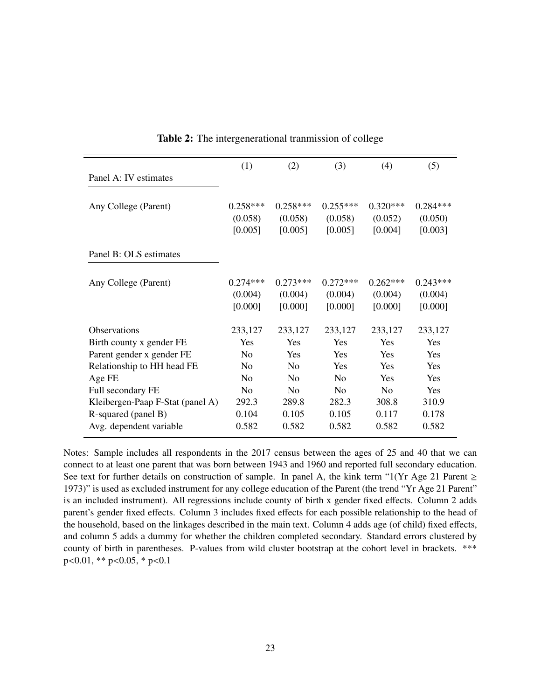<span id="page-23-0"></span>

| Panel A: IV estimates            | (1)            | (2)            | (3)            | (4)        | (5)        |
|----------------------------------|----------------|----------------|----------------|------------|------------|
|                                  |                |                |                |            |            |
| Any College (Parent)             | $0.258***$     | $0.258***$     | $0.255***$     | $0.320***$ | $0.284***$ |
|                                  | (0.058)        | (0.058)        | (0.058)        | (0.052)    | (0.050)    |
|                                  | [0.005]        | [0.005]        | [0.005]        | [0.004]    | [0.003]    |
| Panel B: OLS estimates           |                |                |                |            |            |
|                                  |                |                |                |            |            |
|                                  |                |                |                |            |            |
| Any College (Parent)             | $0.274***$     | $0.273***$     | $0.272***$     | $0.262***$ | $0.243***$ |
|                                  | (0.004)        | (0.004)        | (0.004)        | (0.004)    | (0.004)    |
|                                  | [0.000]        | [0.000]        | [0.000]        | [0.000]    | [0.000]    |
| Observations                     | 233,127        | 233,127        | 233,127        | 233,127    | 233,127    |
| Birth county x gender FE         | Yes            | Yes            | Yes            | <b>Yes</b> | <b>Yes</b> |
| Parent gender x gender FE        | N <sub>0</sub> | Yes            | Yes            | Yes        | <b>Yes</b> |
|                                  | N <sub>0</sub> | N <sub>0</sub> | Yes            | Yes        | Yes        |
| Relationship to HH head FE       |                |                |                |            |            |
| Age FE                           | N <sub>0</sub> | N <sub>0</sub> | N <sub>0</sub> | Yes        | <b>Yes</b> |
| Full secondary FE                | N <sub>0</sub> | N <sub>0</sub> | N <sub>0</sub> | No         | <b>Yes</b> |
| Kleibergen-Paap F-Stat (panel A) | 292.3          | 289.8          | 282.3          | 308.8      | 310.9      |
| R-squared (panel B)              | 0.104          | 0.105          | 0.105          | 0.117      | 0.178      |
| Avg. dependent variable          | 0.582          | 0.582          | 0.582          | 0.582      | 0.582      |
|                                  |                |                |                |            |            |

Table 2: The intergenerational tranmission of college

Notes: Sample includes all respondents in the 2017 census between the ages of 25 and 40 that we can connect to at least one parent that was born between 1943 and 1960 and reported full secondary education. See text for further details on construction of sample. In panel A, the kink term "1(Yr Age 21 Parent  $\geq$ 1973)" is used as excluded instrument for any college education of the Parent (the trend "Yr Age 21 Parent" is an included instrument). All regressions include county of birth x gender fixed effects. Column 2 adds parent's gender fixed effects. Column 3 includes fixed effects for each possible relationship to the head of the household, based on the linkages described in the main text. Column 4 adds age (of child) fixed effects, and column 5 adds a dummy for whether the children completed secondary. Standard errors clustered by county of birth in parentheses. P-values from wild cluster bootstrap at the cohort level in brackets. \*\*\* p<0.01, \*\* p<0.05, \* p<0.1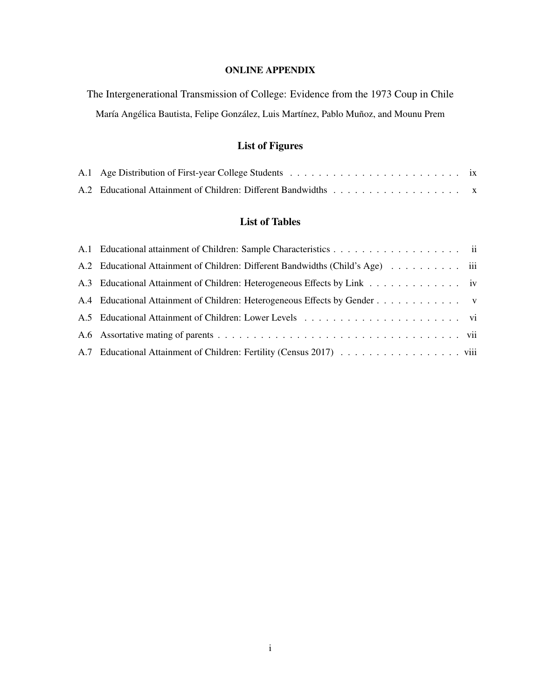## ONLINE APPENDIX

The Intergenerational Transmission of College: Evidence from the 1973 Coup in Chile María Angélica Bautista, Felipe González, Luis Martínez, Pablo Muñoz, and Mounu Prem

## List of Figures

## List of Tables

| A.2 Educational Attainment of Children: Different Bandwidths (Child's Age) |  |
|----------------------------------------------------------------------------|--|
|                                                                            |  |
| A.4 Educational Attainment of Children: Heterogeneous Effects by Gender    |  |
|                                                                            |  |
|                                                                            |  |
|                                                                            |  |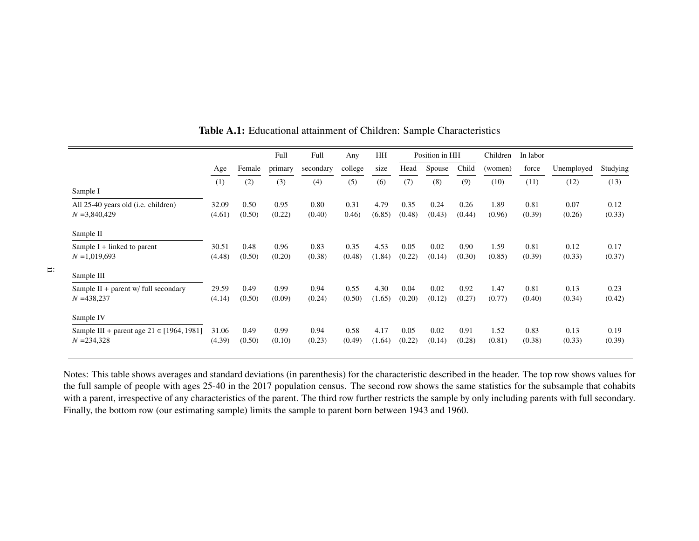|                                               |        |        | Full    | Full      | Any     | HH     |        | Position in HH |        | Children | In labor |            |          |
|-----------------------------------------------|--------|--------|---------|-----------|---------|--------|--------|----------------|--------|----------|----------|------------|----------|
|                                               | Age    | Female | primary | secondary | college | size   | Head   | Spouse         | Child  | (women)  | force    | Unemployed | Studying |
|                                               | (1)    | (2)    | (3)     | (4)       | (5)     | (6)    | (7)    | (8)            | (9)    | (10)     | (11)     | (12)       | (13)     |
| Sample I                                      |        |        |         |           |         |        |        |                |        |          |          |            |          |
| All 25-40 years old ( <i>i.e.</i> children)   | 32.09  | 0.50   | 0.95    | 0.80      | 0.31    | 4.79   | 0.35   | 0.24           | 0.26   | 1.89     | 0.81     | 0.07       | 0.12     |
| $N = 3,840,429$                               | (4.61) | (0.50) | (0.22)  | (0.40)    | 0.46    | (6.85) | (0.48) | (0.43)         | (0.44) | (0.96)   | (0.39)   | (0.26)     | (0.33)   |
| Sample II                                     |        |        |         |           |         |        |        |                |        |          |          |            |          |
| Sample $I +$ linked to parent                 | 30.51  | 0.48   | 0.96    | 0.83      | 0.35    | 4.53   | 0.05   | 0.02           | 0.90   | 1.59     | 0.81     | 0.12       | 0.17     |
| $N = 1,019,693$                               | (4.48) | (0.50) | (0.20)  | (0.38)    | (0.48)  | (1.84) | (0.22) | (0.14)         | (0.30) | (0.85)   | (0.39)   | (0.33)     | (0.37)   |
| Sample III                                    |        |        |         |           |         |        |        |                |        |          |          |            |          |
| Sample II + parent $w$ / full secondary       | 29.59  | 0.49   | 0.99    | 0.94      | 0.55    | 4.30   | 0.04   | 0.02           | 0.92   | 1.47     | 0.81     | 0.13       | 0.23     |
| $N = 438,237$                                 | (4.14) | (0.50) | (0.09)  | (0.24)    | (0.50)  | (1.65) | (0.20) | (0.12)         | (0.27) | (0.77)   | (0.40)   | (0.34)     | (0.42)   |
| Sample IV                                     |        |        |         |           |         |        |        |                |        |          |          |            |          |
| Sample III + parent age $21 \in [1964, 1981]$ | 31.06  | 0.49   | 0.99    | 0.94      | 0.58    | 4.17   | 0.05   | 0.02           | 0.91   | 1.52     | 0.83     | 0.13       | 0.19     |
| $N = 234,328$                                 | (4.39) | (0.50) | (0.10)  | (0.23)    | (0.49)  | (1.64) | (0.22) | (0.14)         | (0.28) | (0.81)   | (0.38)   | (0.33)     | (0.39)   |
|                                               |        |        |         |           |         |        |        |                |        |          |          |            |          |

<span id="page-25-0"></span>Table A.1: Educational attainment of Children: Sample Characteristics

Notes: This table shows averages and standard deviations (in parenthesis) for the characteristic described in the header. The top row shows values for the full sample of people with ages 25-40 in the 2017 population census. The second row shows the same statistics for the subsample that cohabits with <sup>a</sup> parent, irrespective of any characteristics of the parent. The third row further restricts the sample by only including parents with full secondary.Finally, the bottom row (our estimating sample) limits the sample to paren<sup>t</sup> born between 1943 and 1960.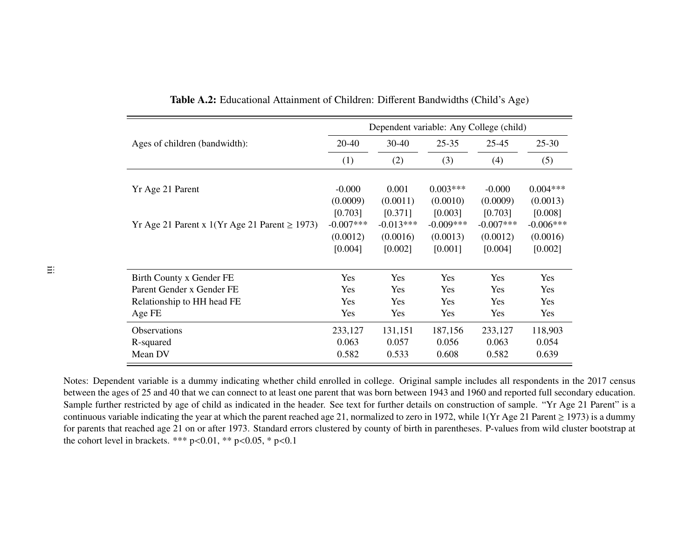|                                                   |              | Dependent variable: Any College (child) |              |             |             |
|---------------------------------------------------|--------------|-----------------------------------------|--------------|-------------|-------------|
| Ages of children (bandwidth):                     | 20-40        | $30-40$                                 | $25 - 35$    | $25 - 45$   | $25 - 30$   |
|                                                   | (1)          | (2)                                     | (3)          | (4)         | (5)         |
|                                                   |              |                                         |              |             |             |
| Yr Age 21 Parent                                  | $-0.000$     | 0.001                                   | $0.003***$   | $-0.000$    | $0.004***$  |
|                                                   | (0.0009)     | (0.0011)                                | (0.0010)     | (0.0009)    | (0.0013)    |
|                                                   | [0.703]      | [0.371]                                 | [0.003]      | [0.703]     | [0.008]     |
| Yr Age 21 Parent x 1(Yr Age 21 Parent $\ge$ 1973) | $-0.007$ *** | $-0.013***$                             | $-0.009$ *** | $-0.007***$ | $-0.006***$ |
|                                                   | (0.0012)     | (0.0016)                                | (0.0013)     | (0.0012)    | (0.0016)    |
|                                                   | [0.004]      | [0.002]                                 | [0.001]      | [0.004]     | [0.002]     |
| Birth County x Gender FE                          | Yes          | Yes                                     | Yes          | Yes         | Yes         |
| Parent Gender x Gender FE                         | <b>Yes</b>   | <b>Yes</b>                              | Yes          | <b>Yes</b>  | <b>Yes</b>  |
| Relationship to HH head FE                        | Yes          | Yes                                     | Yes          | Yes         | Yes         |
| Age FE                                            | Yes          | <b>Yes</b>                              | <b>Yes</b>   | Yes         | Yes         |
| <b>Observations</b>                               | 233,127      | 131,151                                 | 187,156      | 233,127     | 118,903     |
| R-squared                                         | 0.063        | 0.057                                   | 0.056        | 0.063       | 0.054       |
| Mean DV                                           | 0.582        | 0.533                                   | 0.608        | 0.582       | 0.639       |

<span id="page-26-0"></span>Table A.2: Educational Attainment of Children: Different Bandwidths (Child's Age)

Notes: Dependent variable is <sup>a</sup> dummy indicating whether child enrolled in college. Original sample includes all respondents in the 2017 census between the ages of 25 and 40 that we can connect to at least one paren<sup>t</sup> that was born between 1943 and 1960 and reported full secondary education. Sample further restricted by age of child as indicated in the header. See text for further details on construction of sample. "Yr Age 21 Parent" is <sup>a</sup>continuous variable indicating the year at which the parent reached age 21, normalized to zero in 1972, while  $1(Yr \text{ Age } 21 \text{ Parent } \ge 1973)$  is a dummy for parents that reached age 21 on or after 1973. Standard errors clustered by county of birth in parentheses. P-values from wild cluster bootstrap atthe cohort level in brackets. \*\*\*  $p < 0.01$ , \*\*  $p < 0.05$ , \*  $p < 0.1$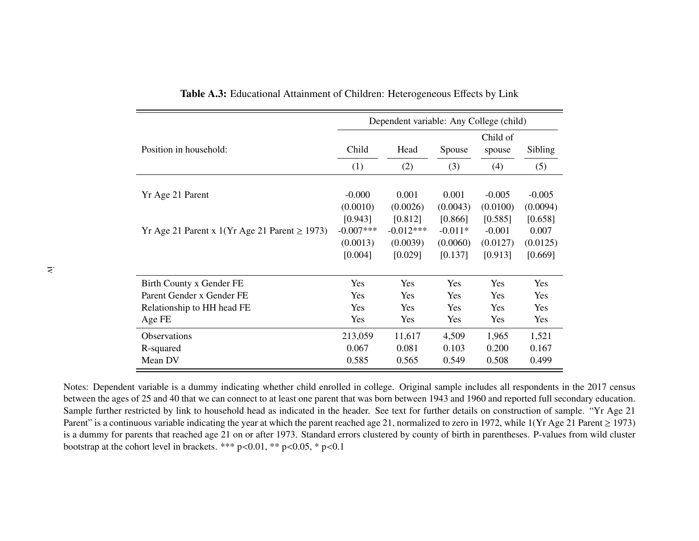|                                                   | Dependent variable: Any College (child) |             |           |            |            |  |  |  |  |
|---------------------------------------------------|-----------------------------------------|-------------|-----------|------------|------------|--|--|--|--|
|                                                   |                                         |             |           | Child of   |            |  |  |  |  |
| Position in household:                            | Child                                   | Head        | Spouse    | spouse     | Sibling    |  |  |  |  |
|                                                   | (1)                                     | (2)         | (3)       | (4)        | (5)        |  |  |  |  |
|                                                   |                                         |             |           |            |            |  |  |  |  |
| Yr Age 21 Parent                                  | $-0.000$                                | 0.001       | 0.001     | $-0.005$   | $-0.005$   |  |  |  |  |
|                                                   | (0.0010)                                | (0.0026)    | (0.0043)  | (0.0100)   | (0.0094)   |  |  |  |  |
|                                                   | [0.943]                                 | [0.812]     | [0.866]   | [0.585]    | [0.658]    |  |  |  |  |
| Yr Age 21 Parent x 1(Yr Age 21 Parent $\ge$ 1973) | $-0.007***$                             | $-0.012***$ | $-0.011*$ | $-0.001$   | 0.007      |  |  |  |  |
|                                                   | (0.0013)                                | (0.0039)    | (0.0060)  | (0.0127)   | (0.0125)   |  |  |  |  |
|                                                   | [0.004]                                 | [0.029]     | [0.137]   | [0.913]    | [0.669]    |  |  |  |  |
|                                                   |                                         |             |           |            |            |  |  |  |  |
| Birth County x Gender FE                          | <b>Yes</b>                              | Yes         | Yes       | <b>Yes</b> | Yes        |  |  |  |  |
| Parent Gender x Gender FE                         | Yes                                     | Yes         | Yes       | Yes        | Yes        |  |  |  |  |
| Relationship to HH head FE                        | <b>Yes</b>                              | <b>Yes</b>  | Yes       | <b>Yes</b> | <b>Yes</b> |  |  |  |  |
| Age FE                                            | Yes                                     | Yes         | Yes       | Yes        | <b>Yes</b> |  |  |  |  |
| <b>Observations</b>                               | 213,059                                 | 11,617      | 4,509     | 1,965      | 1,521      |  |  |  |  |
| R-squared                                         | 0.067                                   | 0.081       | 0.103     | 0.200      | 0.167      |  |  |  |  |
| Mean DV                                           | 0.585                                   | 0.565       | 0.549     | 0.508      | 0.499      |  |  |  |  |

<span id="page-27-0"></span>Table A.3: Educational Attainment of Children: Heterogeneous <sup>E</sup>ffects by Link

Notes: Dependent variable is <sup>a</sup> dummy indicating whether child enrolled in college. Original sample includes all respondents in the 2017 census between the ages of 25 and 40 that we can connect to at least one paren<sup>t</sup> that was born between 1943 and 1960 and reported full secondary education. Sample further restricted by link to household head as indicated in the header. See text for further details on construction of sample. "Yr Age 21Parent" is a continuous variable indicating the year at which the parent reached age 21, normalized to zero in 1972, while  $1(Yr \text{ Age } 21 \text{ Parent } \ge 1973)$ is <sup>a</sup> dummy for parents that reached age 21 on or after 1973. Standard errors clustered by county of birth in parentheses. P-values from wild clusterbootstrap at the cohort level in brackets. \*\*\*  $p<0.01$ , \*\*  $p<0.05$ , \*  $p<0.1$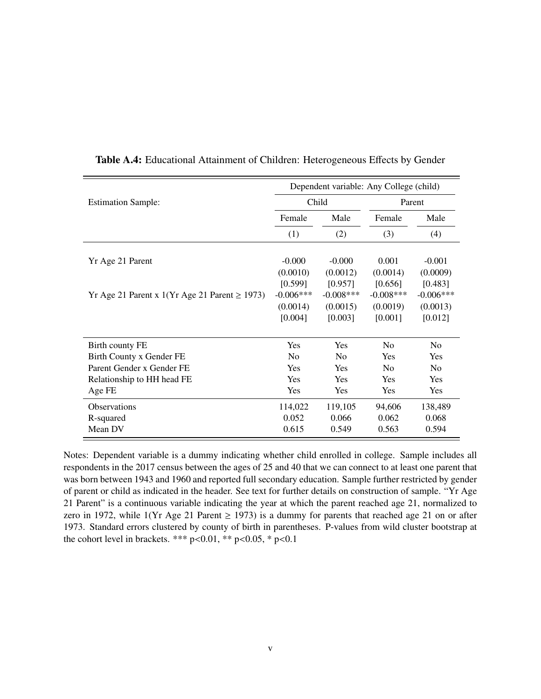<span id="page-28-0"></span>

|                                                   | Dependent variable: Any College (child) |                |                |                |  |  |  |  |
|---------------------------------------------------|-----------------------------------------|----------------|----------------|----------------|--|--|--|--|
| <b>Estimation Sample:</b>                         |                                         | Child          |                | Parent         |  |  |  |  |
|                                                   | Female                                  | Male           | Female         | Male           |  |  |  |  |
|                                                   | (1)                                     | (2)            | (3)            | (4)            |  |  |  |  |
| Yr Age 21 Parent                                  | $-0.000$                                | $-0.000$       | 0.001          | $-0.001$       |  |  |  |  |
|                                                   | (0.0010)                                | (0.0012)       | (0.0014)       | (0.0009)       |  |  |  |  |
|                                                   | [0.599]                                 | [0.957]        | [0.656]        | [0.483]        |  |  |  |  |
| Yr Age 21 Parent x 1(Yr Age 21 Parent $\ge$ 1973) | $-0.006***$                             | $-0.008***$    | $-0.008***$    | $-0.006***$    |  |  |  |  |
|                                                   | (0.0014)                                | (0.0015)       | (0.0019)       | (0.0013)       |  |  |  |  |
|                                                   | [0.004]                                 | [0.003]        | [0.001]        | [0.012]        |  |  |  |  |
| Birth county FE                                   | Yes                                     | Yes            | N <sub>0</sub> | N <sub>0</sub> |  |  |  |  |
| Birth County x Gender FE                          | N <sub>0</sub>                          | N <sub>0</sub> | Yes            | Yes            |  |  |  |  |
| Parent Gender x Gender FE                         | Yes                                     | Yes            | N <sub>0</sub> | N <sub>0</sub> |  |  |  |  |
| Relationship to HH head FE                        | Yes                                     | Yes            | Yes            | Yes            |  |  |  |  |
| Age FE                                            | Yes                                     | Yes            | Yes            | Yes            |  |  |  |  |
| <b>Observations</b>                               | 114,022                                 | 119,105        | 94,606         | 138,489        |  |  |  |  |
| R-squared                                         | 0.052                                   | 0.066          | 0.062          | 0.068          |  |  |  |  |
| Mean DV                                           | 0.615                                   | 0.549          | 0.563          | 0.594          |  |  |  |  |

Table A.4: Educational Attainment of Children: Heterogeneous Effects by Gender

Notes: Dependent variable is a dummy indicating whether child enrolled in college. Sample includes all respondents in the 2017 census between the ages of 25 and 40 that we can connect to at least one parent that was born between 1943 and 1960 and reported full secondary education. Sample further restricted by gender of parent or child as indicated in the header. See text for further details on construction of sample. "Yr Age 21 Parent" is a continuous variable indicating the year at which the parent reached age 21, normalized to zero in 1972, while 1(Yr Age 21 Parent  $\geq$  1973) is a dummy for parents that reached age 21 on or after 1973. Standard errors clustered by county of birth in parentheses. P-values from wild cluster bootstrap at the cohort level in brackets. \*\*\*  $p<0.01$ , \*\*  $p<0.05$ , \*  $p<0.1$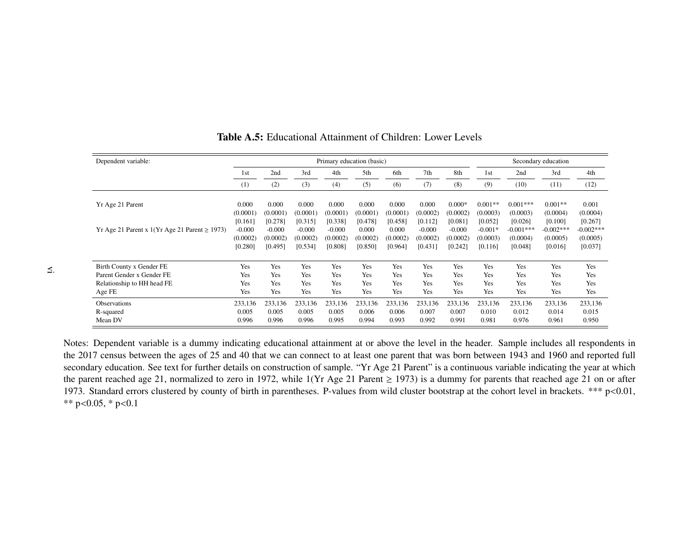| Dependent variable:                               |                                 |                                 |                                 | Primary education (basic)       |                              |                              |                                 |                                 | Secondary education              |                                    |                                     |                                    |
|---------------------------------------------------|---------------------------------|---------------------------------|---------------------------------|---------------------------------|------------------------------|------------------------------|---------------------------------|---------------------------------|----------------------------------|------------------------------------|-------------------------------------|------------------------------------|
|                                                   | 1st                             | 2nd                             | 3rd                             | 4th                             | 5th                          | 6th                          | 7th                             | 8th                             | 1 <sub>st</sub>                  | 2nd                                | 3rd                                 | 4th                                |
|                                                   | (1)                             | (2)                             | (3)                             | (4)                             | (5)                          | (6)                          | (7)                             | (8)                             | (9)                              | (10)                               | (11)                                | (12)                               |
| Yr Age 21 Parent                                  | 0.000<br>(0.0001)               | 0.000<br>(0.0001)               | 0.000<br>(0.0001)               | 0.000<br>(0.0001)               | 0.000<br>(0.0001)            | 0.000<br>(0.0001)            | 0.000<br>(0.0002)               | $0.000*$<br>(0.0002)            | $0.001**$<br>(0.0003)            | $0.001***$<br>(0.0003)             | $0.001**$<br>(0.0004)               | 0.001<br>(0.0004)                  |
| Yr Age 21 Parent x 1(Yr Age 21 Parent $\ge$ 1973) | [0.161]<br>$-0.000$<br>(0.0002) | [0.278]<br>$-0.000$<br>(0.0002) | [0.315]<br>$-0.000$<br>(0.0002) | [0.338]<br>$-0.000$<br>(0.0002) | [0.478]<br>0.000<br>(0.0002) | [0.458]<br>0.000<br>(0.0002) | [0.112]<br>$-0.000$<br>(0.0002) | [0.081]<br>$-0.000$<br>(0.0002) | [0.052]<br>$-0.001*$<br>(0.0003) | [0.026]<br>$-0.001***$<br>(0.0004) | [0.100]<br>$-0.002$ ***<br>(0.0005) | [0.267]<br>$-0.002***$<br>(0.0005) |
|                                                   | [0.280]                         | [0.495]                         | [0.534]                         | [0.808]                         | [0.850]                      | [0.964]                      | [0.431]                         | [0.242]                         | [0.116]                          | [0.048]                            | [0.016]                             | [0.037]                            |
| Birth County x Gender FE                          | Yes                             | Yes                             | Yes                             | Yes                             | Yes                          | Yes                          | Yes                             | Yes                             | Yes                              | Yes                                | Yes                                 | Yes                                |
| Parent Gender x Gender FE                         | Yes                             | Yes                             | Yes                             | Yes                             | Yes                          | Yes                          | Yes                             | Yes                             | Yes                              | Yes                                | <b>Yes</b>                          | Yes                                |
| Relationship to HH head FE                        | Yes                             | Yes                             | Yes                             | Yes                             | Yes                          | <b>Yes</b>                   | Yes                             | Yes                             | Yes                              | Yes                                | <b>Yes</b>                          | Yes                                |
| Age FE                                            | Yes                             | Yes                             | Yes                             | Yes                             | Yes                          | Yes                          | Yes                             | <b>Yes</b>                      | Yes                              | Yes                                | <b>Yes</b>                          | Yes                                |
| <b>Observations</b>                               | 233,136                         | 233,136                         | 233,136                         | 233,136                         | 233,136                      | 233,136                      | 233,136                         | 233,136                         | 233,136                          | 233,136                            | 233,136                             | 233,136                            |
| R-squared                                         | 0.005                           | 0.005                           | 0.005                           | 0.005                           | 0.006                        | 0.006                        | 0.007                           | 0.007                           | 0.010                            | 0.012                              | 0.014                               | 0.015                              |
| Mean DV                                           | 0.996                           | 0.996                           | 0.996                           | 0.995                           | 0.994                        | 0.993                        | 0.992                           | 0.991                           | 0.981                            | 0.976                              | 0.961                               | 0.950                              |

<span id="page-29-0"></span>Table A.5: Educational Attainment of Children: Lower Levels

Notes: Dependent variable is <sup>a</sup> dummy indicating educational attainment at or above the level in the header. Sample includes all respondents in the 2017 census between the ages of 25 and 40 that we can connect to at least one paren<sup>t</sup> that was born between 1943 and 1960 and reported full secondary education. See text for further details on construction of sample. "Yr Age 21 Parent" is <sup>a</sup> continuous variable indicating the year at whichthe parent reached age 21, normalized to zero in 1972, while  $1(Yr \text{ Age } 21 \text{ Parent } \ge 1973)$  is a dummy for parents that reached age 21 on or after 1973. Standard errors clustered by county of birth in parentheses. P-values from wild cluster bootstrap at the cohort level in brackets. \*\*\* p<sup>&</sup>lt;0.01,\*\* p<sup>&</sup>lt;0.05, \* p<0.1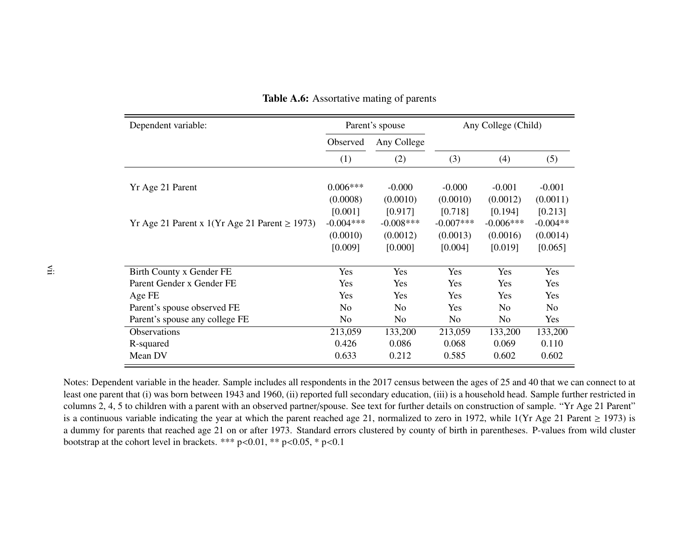| Dependent variable:                               |                | Parent's spouse | Any College (Child) |                |                |  |
|---------------------------------------------------|----------------|-----------------|---------------------|----------------|----------------|--|
|                                                   | Observed       | Any College     |                     |                |                |  |
|                                                   | (1)            | (2)             | (3)                 | (4)            | (5)            |  |
| Yr Age 21 Parent                                  | $0.006***$     | $-0.000$        | $-0.000$            | $-0.001$       | $-0.001$       |  |
|                                                   | (0.0008)       | (0.0010)        | (0.0010)            | (0.0012)       | (0.0011)       |  |
|                                                   | [0.001]        | [0.917]         | [0.718]             | [0.194]        | [0.213]        |  |
| Yr Age 21 Parent x 1(Yr Age 21 Parent $\ge$ 1973) | $-0.004***$    | $-0.008***$     | $-0.007***$         | $-0.006$ ***   | $-0.004**$     |  |
|                                                   | (0.0010)       | (0.0012)        | (0.0013)            | (0.0016)       | (0.0014)       |  |
|                                                   | [0.009]        | [0.000]         | [0.004]             | [0.019]        | [0.065]        |  |
| Birth County x Gender FE                          | Yes            | Yes             | Yes                 | Yes            | Yes            |  |
| Parent Gender x Gender FE                         | Yes            | Yes             | Yes                 | Yes            | Yes            |  |
| Age FE                                            | <b>Yes</b>     | Yes             | <b>Yes</b>          | <b>Yes</b>     | <b>Yes</b>     |  |
| Parent's spouse observed FE                       | N <sub>0</sub> | N <sub>0</sub>  | <b>Yes</b>          | N <sub>0</sub> | N <sub>0</sub> |  |
| Parent's spouse any college FE                    | No.            | N <sub>0</sub>  | No.                 | N <sub>0</sub> | Yes            |  |
| <b>Observations</b>                               | 213,059        | 133,200         | 213,059             | 133,200        | 133,200        |  |
| R-squared                                         | 0.426          | 0.086           | 0.068               | 0.069          | 0.110          |  |
| Mean DV                                           | 0.633          | 0.212           | 0.585               | 0.602          | 0.602          |  |

<span id="page-30-0"></span>Table A.6: Assortative mating of parents

Notes: Dependent variable in the header. Sample includes all respondents in the 2017 census between the ages of 25 and 40 that we can connect to at least one paren<sup>t</sup> that (i) was born between 1943 and 1960, (ii) reported full secondary education, (iii) is <sup>a</sup> household head. Sample further restricted in columns 2, 4, 5 to children with <sup>a</sup> paren<sup>t</sup> with an observed partner/spouse. See text for further details on construction of sample. "Yr Age 21 Parent"is a continuous variable indicating the year at which the parent reached age 21, normalized to zero in 1972, while  $1(Yr \text{ Age } 21 \text{ Parent } \ge 1973)$  is <sup>a</sup> dummy for parents that reached age 21 on or after 1973. Standard errors clustered by county of birth in parentheses. P-values from wild clusterbootstrap at the cohort level in brackets. \*\*\*  $p<0.01$ , \*\*  $p<0.05$ , \*  $p<0.1$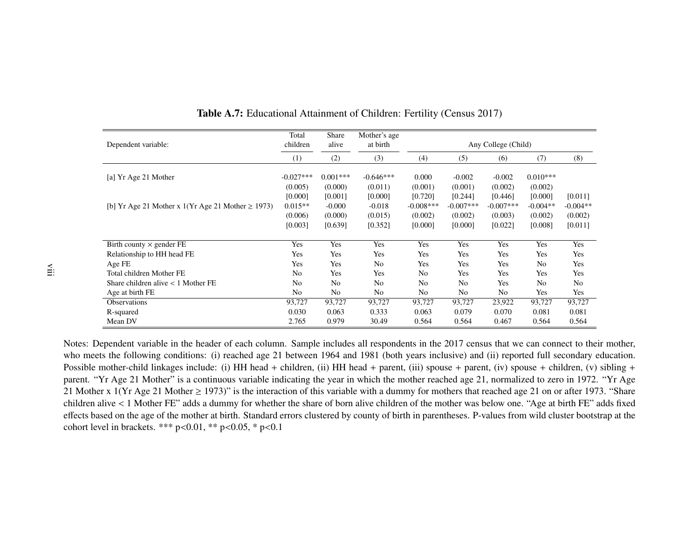|                                                        | Total          | Share          | Mother's age   |                |                |                     |                |                |
|--------------------------------------------------------|----------------|----------------|----------------|----------------|----------------|---------------------|----------------|----------------|
| Dependent variable:                                    | children       | alive          | at birth       |                |                | Any College (Child) |                |                |
|                                                        | (1)            | (2)            | (3)            | (4)            | (5)            | (6)                 | (7)            | (8)            |
| [a] Yr Age 21 Mother                                   | $-0.027***$    | $0.001***$     | $-0.646***$    | 0.000          | $-0.002$       | $-0.002$            | $0.010***$     |                |
|                                                        | (0.005)        | (0.000)        | (0.011)        | (0.001)        | (0.001)        | (0.002)             | (0.002)        |                |
|                                                        | [0.000]        | [0.001]        | [0.000]        | [0.720]        | [0.244]        | [0.446]             | [0.000]        | [0.011]        |
| [b] Yr Age 21 Mother x 1(Yr Age 21 Mother $\geq$ 1973) | $0.015**$      | $-0.000$       | $-0.018$       | $-0.008***$    | $-0.007$ ***   | $-0.007***$         | $-0.004**$     | $-0.004**$     |
|                                                        | (0.006)        | (0.000)        | (0.015)        | (0.002)        | (0.002)        | (0.003)             | (0.002)        | (0.002)        |
|                                                        | [0.003]        | [0.639]        | [0.352]        | [0.000]        | [0.000]        | [0.022]             | [0.008]        | [0.011]        |
|                                                        |                |                |                |                |                |                     |                |                |
| Birth county $\times$ gender FE                        | Yes            | Yes            | Yes            | Yes            | Yes            | Yes                 | Yes            | Yes            |
| Relationship to HH head FE                             | Yes            | Yes            | Yes            | Yes            | Yes            | Yes                 | Yes            | Yes            |
| Age FE                                                 | Yes            | Yes            | N <sub>o</sub> | Yes            | Yes            | Yes                 | N <sub>0</sub> | Yes            |
| Total children Mother FE                               | No             | Yes            | Yes            | No             | Yes            | Yes                 | Yes            | Yes            |
| Share children alive $< 1$ Mother FE                   | N <sub>o</sub> | N <sub>0</sub> | N <sub>o</sub> | N <sub>o</sub> | N <sub>o</sub> | Yes                 | No             | N <sub>o</sub> |
| Age at birth FE                                        | No             | N <sub>0</sub> | No             | No             | No             | No                  | Yes            | Yes            |
| <b>Observations</b>                                    | 93,727         | 93,727         | 93,727         | 93,727         | 93,727         | 23,922              | 93,727         | 93,727         |
| R-squared                                              | 0.030          | 0.063          | 0.333          | 0.063          | 0.079          | 0.070               | 0.081          | 0.081          |
| Mean DV                                                | 2.765          | 0.979          | 30.49          | 0.564          | 0.564          | 0.467               | 0.564          | 0.564          |

<span id="page-31-0"></span>Table A.7: Educational Attainment of Children: Fertility (Census 2017)

Notes: Dependent variable in the header of each column. Sample includes all respondents in the 2017 census that we can connect to their mother,who meets the following conditions: (i) reached age 21 between 1964 and 1981 (both years inclusive) and (ii) reported full secondary education. Possible mother-child linkages include: (i) HH head + children, (ii) HH head + parent, (iii) spouse + parent, (iv) spouse + children, (v) sibling + parent. "Yr Age 21 Mother" is <sup>a</sup> continuous variable indicating the year in which the mother reached age 21, normalized to zero in 1972. "Yr Age21 Mother x 1(Yr Age 21 Mother  $\geq$  1973)" is the interaction of this variable with a dummy for mothers that reached age 21 on or after 1973. "Share children alive <sup>&</sup>lt; <sup>1</sup> Mother FE" adds <sup>a</sup> dummy for whether the share of born alive children of the mother was below one. "Age at birth FE" adds fixed <sup>e</sup>ffects based on the age of the mother at birth. Standard errors clustered by county of birth in parentheses. P-values from wild cluster bootstrap at thecohort level in brackets. \*\*\* p<0.01, \*\* p<0.05, \* p<0.1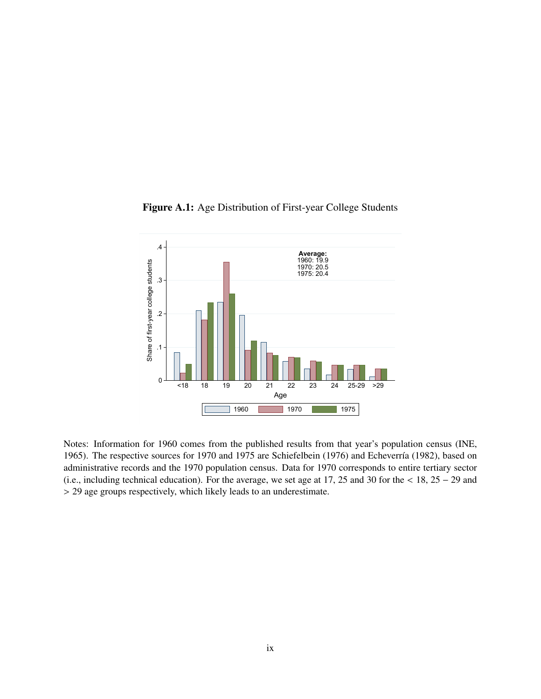<span id="page-32-0"></span>

Figure A.1: Age Distribution of First-year College Students

Notes: Information for 1960 comes from the published results from that year's population census [\(INE,](#page-17-19) [1965\)](#page-17-19). The respective sources for 1970 and 1975 are [Schiefelbein](#page-18-9) [\(1976\)](#page-18-9) and Echeverría [\(1982\)](#page-16-18), based on administrative records and the 1970 population census. Data for 1970 corresponds to entire tertiary sector (i.e., including technical education). For the average, we set age at 17, 25 and 30 for the < 18, 25 <sup>−</sup> 29 and > 29 age groups respectively, which likely leads to an underestimate.